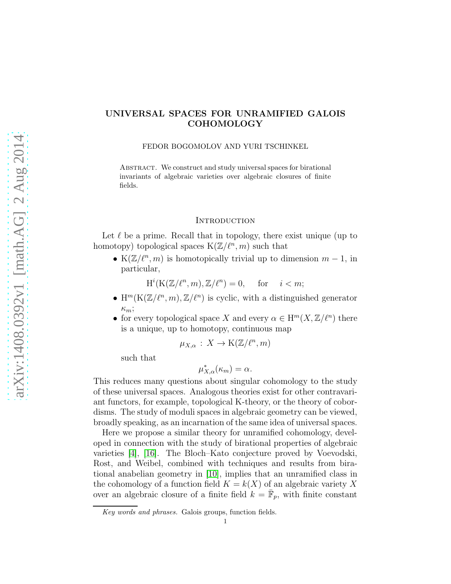# UNIVERSAL SPACES FOR UNRAMIFIED GALOIS COHOMOLOGY

FEDOR BOGOMOLOV AND YURI TSCHINKEL

ABSTRACT. We construct and study universal spaces for birational invariants of algebraic varieties over algebraic closures of finite fields.

## **INTRODUCTION**

Let  $\ell$  be a prime. Recall that in topology, there exist unique (up to homotopy) topological spaces  $K(\mathbb{Z}/\ell^n, m)$  such that

• K( $\mathbb{Z}/\ell^n, m$ ) is homotopically trivial up to dimension  $m-1$ , in particular,

 $H^i(K(\mathbb{Z}/\ell^n,m), \mathbb{Z}/\ell^n) = 0$ , for  $i < m$ ;

- H<sup>m</sup>(K( $\mathbb{Z}/\ell^n, m$ ),  $\mathbb{Z}/\ell^n$ ) is cyclic, with a distinguished generator  $\kappa_m$ ;
- for every topological space X and every  $\alpha \in \mathrm{H}^m(X,\mathbb{Z}/\ell^n)$  there is a unique, up to homotopy, continuous map

$$
\mu_{X,\alpha} : X \to \mathcal{K}(\mathbb{Z}/\ell^n, m)
$$

such that

$$
\mu^*_{X,\alpha}(\kappa_m) = \alpha.
$$

This reduces many questions about singular cohomology to the study of these universal spaces. Analogous theories exist for other contravariant functors, for example, topological K-theory, or the theory of cobordisms. The study of moduli spaces in algebraic geometry can be viewed, broadly speaking, as an incarnation of the same idea of universal spaces.

Here we propose a similar theory for unramified cohomology, developed in connection with the study of birational properties of algebraic varieties [\[4\]](#page-31-0), [\[16\]](#page-32-0). The Bloch–Kato conjecture proved by Voevodski, Rost, and Weibel, combined with techniques and results from birational anabelian geometry in [\[10\]](#page-31-1), implies that an unramified class in the cohomology of a function field  $K = k(X)$  of an algebraic variety X over an algebraic closure of a finite field  $k = \bar{F}_p$ , with finite constant

*Key words and phrases.* Galois groups, function fields.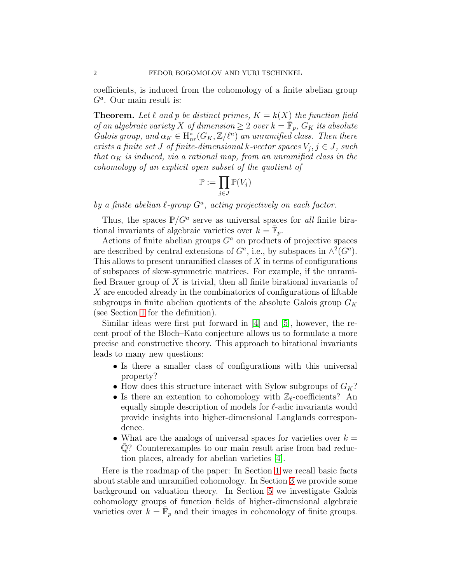coefficients, is induced from the cohomology of a finite abelian group  $G^a$ . Our main result is:

**Theorem.** Let  $\ell$  and  $p$  be distinct primes,  $K = k(X)$  the function field of an algebraic variety X of dimension  $\geq 2$  over  $k = \mathbb{F}_p$ ,  $G_K$  its absolute Galois group, and  $\alpha_K \in H^*_{nr}(G_K, \mathbb{Z}/\ell^n)$  an unramified class. Then there exists a finite set J of finite-dimensional k-vector spaces  $V_j, j \in J$ , such that  $\alpha_K$  is induced, via a rational map, from an unramified class in the cohomology of an explicit open subset of the quotient of

$$
\mathbb{P} := \prod_{j \in J} \mathbb{P}(V_j)
$$

by a finite abelian  $\ell$ -group  $G^a$ , acting projectively on each factor.

Thus, the spaces  $P/G^a$  serve as universal spaces for *all* finite birational invariants of algebraic varieties over  $k = \bar{\mathbb{F}}_p$ .

Actions of finite abelian groups  $G<sup>a</sup>$  on products of projective spaces are described by central extensions of  $G^a$ , i.e., by subspaces in  $\wedge^2(G^a)$ . This allows to present unramified classes of  $X$  in terms of configurations of subspaces of skew-symmetric matrices. For example, if the unramified Brauer group of  $X$  is trivial, then all finite birational invariants of X are encoded already in the combinatorics of configurations of liftable subgroups in finite abelian quotients of the absolute Galois group  $G_K$ (see Section [1](#page-2-0) for the definition).

Similar ideas were first put forward in [\[4\]](#page-31-0) and [\[5\]](#page-31-2), however, the recent proof of the Bloch–Kato conjecture allows us to formulate a more precise and constructive theory. This approach to birational invariants leads to many new questions:

- Is there a smaller class of configurations with this universal property?
- How does this structure interact with Sylow subgroups of  $G_K$ ?
- Is there an extention to cohomology with  $\mathbb{Z}_{\ell}$ -coefficients? An equally simple description of models for  $\ell$ -adic invariants would provide insights into higher-dimensional Langlands correspondence.
- What are the analogs of universal spaces for varieties over  $k =$  $\mathbb{Q}$ ? Counterexamples to our main result arise from bad reduction places, already for abelian varieties [\[4\]](#page-31-0).

Here is the roadmap of the paper: In Section [1](#page-2-0) we recall basic facts about stable and unramified cohomology. In Section [3](#page-12-0) we provide some background on valuation theory. In Section [5](#page-19-0) we investigate Galois cohomology groups of function fields of higher-dimensional algebraic varieties over  $k = \overline{\mathbb{F}}_p$  and their images in cohomology of finite groups.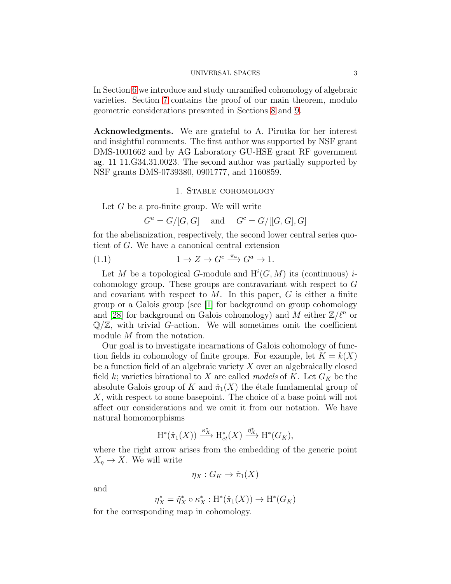In Section [6](#page-22-0) we introduce and study unramified cohomology of algebraic varieties. Section [7](#page-24-0) contains the proof of our main theorem, modulo geometric considerations presented in Sections [8](#page-27-0) and [9.](#page-28-0)

Acknowledgments. We are grateful to A. Pirutka for her interest and insightful comments. The first author was supported by NSF grant DMS-1001662 and by AG Laboratory GU-HSE grant RF government ag. 11 11.G34.31.0023. The second author was partially supported by NSF grants DMS-0739380, 0901777, and 1160859.

## 1. Stable cohomology

<span id="page-2-0"></span>Let  $G$  be a pro-finite group. We will write

<span id="page-2-1"></span> $G^a = G/[G,G]$  and  $G^c = G/[[G,G],G]$ 

for the abelianization, respectively, the second lower central series quotient of G. We have a canonical central extension

(1.1) 
$$
1 \to Z \to G^c \xrightarrow{\pi_a} G^a \to 1.
$$

Let M be a topological G-module and  $H^i(G, M)$  its (continuous) *i*cohomology group. These groups are contravariant with respect to G and covariant with respect to  $M$ . In this paper,  $G$  is either a finite group or a Galois group (see [\[1\]](#page-31-3) for background on group cohomology and [\[28\]](#page-32-1) for background on Galois cohomology) and M either  $\mathbb{Z}/\ell^n$  or  $\mathbb{Q}/\mathbb{Z}$ , with trivial G-action. We will sometimes omit the coefficient module M from the notation.

Our goal is to investigate incarnations of Galois cohomology of function fields in cohomology of finite groups. For example, let  $K = k(X)$ be a function field of an algebraic variety X over an algebraically closed field k; varieties birational to X are called models of K. Let  $G_K$  be the absolute Galois group of K and  $\hat{\pi}_1(X)$  the étale fundamental group of X, with respect to some basepoint. The choice of a base point will not affect our considerations and we omit it from our notation. We have natural homomorphisms

$$
\mathrm{H}^*(\hat{\pi}_1(X)) \xrightarrow{\kappa_X^*} \mathrm{H}_{et}^*(X) \xrightarrow{\tilde{\eta}_X^*} \mathrm{H}^*(G_K),
$$

where the right arrow arises from the embedding of the generic point  $X_n \to X$ . We will write

$$
\eta_X: G_K \to \hat{\pi}_1(X)
$$

and

$$
\eta_X^* = \tilde{\eta}_X^* \circ \kappa_X^* : \mathrm{H}^*(\hat{\pi}_1(X)) \to \mathrm{H}^*(G_K)
$$

for the corresponding map in cohomology.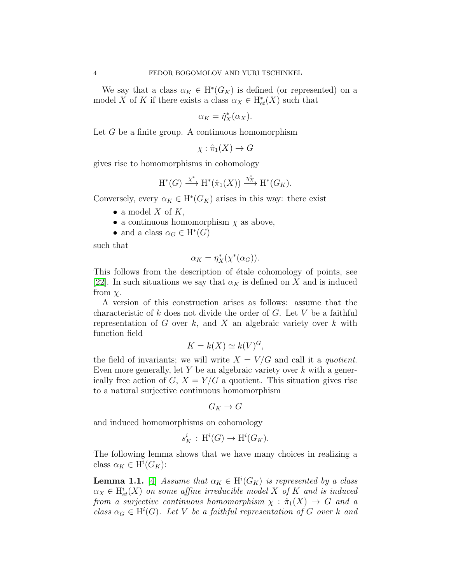We say that a class  $\alpha_K \in H^*(G_K)$  is defined (or represented) on a model X of K if there exists a class  $\alpha_X \in H^*_{et}(X)$  such that

$$
\alpha_K = \tilde{\eta}_X^*(\alpha_X).
$$

Let  $G$  be a finite group. A continuous homomorphism

 $\chi : \hat{\pi}_1(X) \to G$ 

gives rise to homomorphisms in cohomology

$$
H^*(G) \xrightarrow{\chi^*} H^*(\hat{\pi}_1(X)) \xrightarrow{\eta_X^*} H^*(G_K).
$$

Conversely, every  $\alpha_K \in H^*(G_K)$  arises in this way: there exist

- a model  $X$  of  $K$ ,
- a continuous homomorphism  $\chi$  as above,
- and a class  $\alpha_G \in H^*(G)$

such that

$$
\alpha_K = \eta_X^*(\chi^*(\alpha_G)).
$$

This follows from the description of étale cohomology of points, see [\[22\]](#page-32-2). In such situations we say that  $\alpha_K$  is defined on X and is induced from  $\chi$ .

A version of this construction arises as follows: assume that the characteristic of k does not divide the order of  $G$ . Let V be a faithful representation of  $G$  over  $k$ , and  $X$  an algebraic variety over  $k$  with function field

$$
K = k(X) \simeq k(V)^G,
$$

the field of invariants; we will write  $X = V/G$  and call it a *quotient*. Even more generally, let  $Y$  be an algebraic variety over  $k$  with a generically free action of  $G, X = Y/G$  a quotient. This situation gives rise to a natural surjective continuous homomorphism

$$
G_K \to G
$$

and induced homomorphisms on cohomology

$$
s_K^i : \mathrm{H}^i(G) \to \mathrm{H}^i(G_K).
$$

The following lemma shows that we have many choices in realizing a class  $\alpha_K \in H^i(G_K)$ :

<span id="page-3-0"></span>**Lemma 1.1.** [\[4\]](#page-31-0) Assume that  $\alpha_K \in H^i(G_K)$  is represented by a class  $\alpha_X \in H^i_{et}(X)$  on some affine irreducible model X of K and is induced from a surjective continuous homomorphism  $\chi : \hat{\pi}_1(X) \to G$  and a class  $\alpha_G \in H^i(G)$ . Let V be a faithful representation of G over k and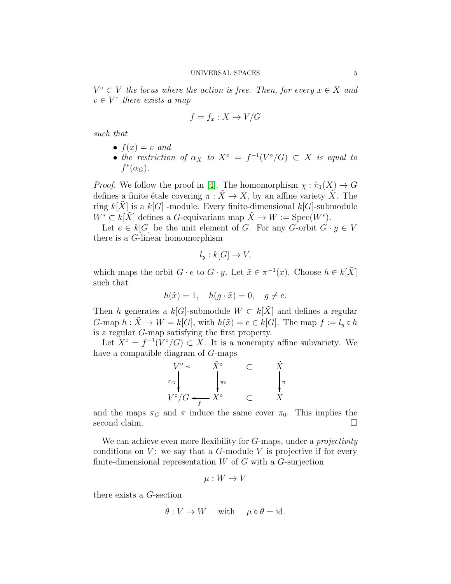$V^{\circ} \subset V$  the locus where the action is free. Then, for every  $x \in X$  and  $v \in V^{\circ}$  there exists a map

$$
f = f_x : X \to V/G
$$

such that

- $f(x) = v$  and
- the restriction of  $\alpha_X$  to  $X^{\circ} = f^{-1}(V^{\circ}/G) \subset X$  is equal to  $f^*(\alpha_G)$ .

*Proof.* We follow the proof in [\[4\]](#page-31-0). The homomorphism  $\chi : \hat{\pi}_1(X) \to G$ defines a finite étale covering  $\pi : \tilde{X} \to X$ , by an affine variety  $\tilde{X}$ . The ring  $k[X]$  is a  $k[G]$ -module. Every finite-dimensional  $k[G]$ -submodule  $W^* \subset k[\tilde{X}]$  defines a G-equivariant map  $\tilde{X} \to W := \text{Spec}(W^*)$ .

Let  $e \in k[G]$  be the unit element of G. For any G-orbit  $G \cdot y \in V$ there is a G-linear homomorphism

$$
l_y: k[G] \to V,
$$

which maps the orbit  $G \cdot e$  to  $G \cdot y$ . Let  $\tilde{x} \in \pi^{-1}(x)$ . Choose  $h \in k[\tilde{X}]$ such that

$$
h(\tilde{x}) = 1, \quad h(g \cdot \tilde{x}) = 0, \quad g \neq e.
$$

Then h generates a  $k[G]$ -submodule  $W \subset k[\tilde{X}]$  and defines a regular G-map  $h : \tilde{X} \to W = k[G]$ , with  $h(\tilde{x}) = e \in k[G]$ . The map  $f := l_u \circ h$ is a regular G-map satisfying the first property.

Let  $X^{\circ} = f^{-1}(V^{\circ}/G) \subset X$ . It is a nonempty affine subvariety. We have a compatible diagram of G-maps

$$
V^{\circ} \longleftarrow \tilde{X}^{\circ} \qquad \subset \qquad \tilde{X}
$$
  
\n
$$
\pi_{G} \qquad \qquad \downarrow \pi_{0} \qquad \qquad \downarrow \pi
$$
  
\n
$$
V^{\circ}/G \longleftarrow f \qquad \subset \qquad X
$$

and the maps  $\pi_G$  and  $\pi$  induce the same cover  $\pi_0$ . This implies the second claim.

We can achieve even more flexibility for G-maps, under a *projectivity* conditions on  $V$ : we say that a  $G$ -module V is projective if for every finite-dimensional representation  $W$  of  $G$  with a  $G$ -surjection

$$
\mu: W \to V
$$

there exists a G-section

$$
\theta: V \to W \quad \text{with} \quad \mu \circ \theta = id.
$$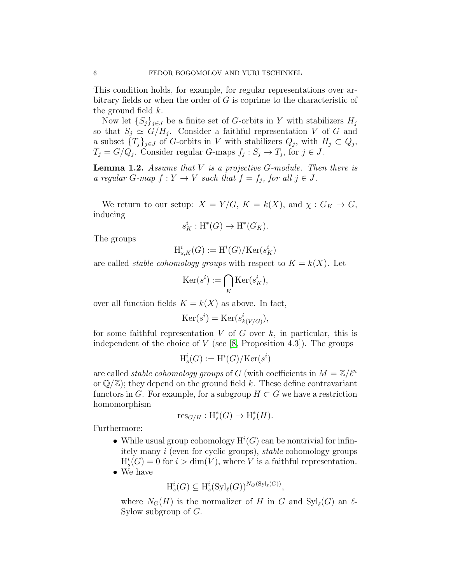This condition holds, for example, for regular representations over arbitrary fields or when the order of  $G$  is coprime to the characteristic of the ground field  $k$ .

Now let  $\{S_i\}_{i\in J}$  be a finite set of G-orbits in Y with stabilizers  $H_i$ so that  $S_j \simeq G/H_j$ . Consider a faithful representation V of G and a subset  ${T_j}_{j \in J}$  of G-orbits in V with stabilizers  $Q_j$ , with  $H_j \subset Q_j$ ,  $T_j = G/Q_j$ . Consider regular G-maps  $f_j : S_j \to T_j$ , for  $j \in J$ .

**Lemma 1.2.** Assume that  $V$  is a projective  $G$ -module. Then there is a regular G-map  $f: Y \to V$  such that  $f = f_j$ , for all  $j \in J$ .

We return to our setup:  $X = Y/G$ ,  $K = k(X)$ , and  $\chi : G_K \to G$ , inducing

$$
s_K^i : \mathrm{H}^*(G) \to \mathrm{H}^*(G_K).
$$

The groups

$$
\mathrm{H}^i_{s,K}(G):=\mathrm{H}^i(G)/\mathrm{Ker}(s^i_K)
$$

are called *stable cohomology groups* with respect to  $K = k(X)$ . Let

$$
\text{Ker}(s^i) := \bigcap_K \text{Ker}(s^i_K),
$$

over all function fields  $K = k(X)$  as above. In fact,

$$
Ker(s^i) = Ker(s^i_{k(V/G)}),
$$

for some faithful representation  $V$  of  $G$  over  $k$ , in particular, this is independent of the choice of  $V$  (see [\[8,](#page-31-4) Proposition 4.3]). The groups

$$
\mathrm{H}^i_s(G):=\mathrm{H}^i(G)/\mathrm{Ker}(s^i)
$$

are called *stable cohomology groups* of G (with coefficients in  $M = \mathbb{Z}/\ell^n$ or  $\mathbb{Q}/\mathbb{Z}$ ; they depend on the ground field k. These define contravariant functors in G. For example, for a subgroup  $H \subset G$  we have a restriction homomorphism

$$
\operatorname{res}_{G/H}: \operatorname{H}_s^*(G) \to \operatorname{H}_s^*(H).
$$

Furthermore:

• While usual group cohomology  $H^i(G)$  can be nontrivial for infinitely many i (even for cyclic groups), stable cohomology groups  $H_s^i(G) = 0$  for  $i > \dim(V)$ , where V is a faithful representation. • We have

$$
H_s^i(G) \subseteq H_s^i(\mathrm{Syl}_{\ell}(G))^{N_G(\mathrm{Syl}_{\ell}(G))},
$$

where  $N_G(H)$  is the normalizer of H in G and  $Syl_{\ell}(G)$  an  $\ell$ -Sylow subgroup of G.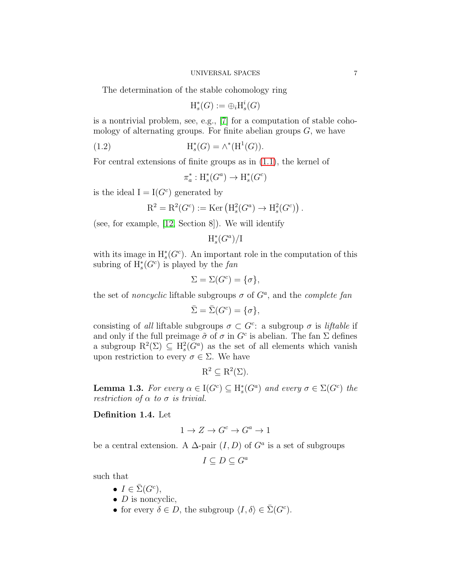The determination of the stable cohomology ring

$$
\mathrm{H}_s^*(G):=\oplus_i \mathrm{H}_s^i(G)
$$

is a nontrivial problem, see, e.g., [\[7\]](#page-31-5) for a computation of stable cohomology of alternating groups. For finite abelian groups  $G$ , we have

(1.2) 
$$
H_s^*(G) = \wedge^*(H^1(G)).
$$

For central extensions of finite groups as in [\(1.1\)](#page-2-1), the kernel of

$$
\pi_a^* : \mathrm{H}_s^*(G^a) \to \mathrm{H}_s^*(G^c)
$$

is the ideal  $I = I(G<sup>c</sup>)$  generated by

$$
R^2 = R^2(G^c) := \text{Ker} \left( H_s^2(G^a) \to H_s^2(G^c) \right).
$$

(see, for example, [\[12,](#page-31-6) Section 8]). We will identify

$$
{\mathrm H}_s^*(G^a)/{\mathrm I}
$$

with its image in  $H^*_s(G^c)$ . An important role in the computation of this subring of  $H^*(G^c)$  is played by the fan

$$
\Sigma = \Sigma(G^c) = \{\sigma\},\
$$

the set of *noncyclic* liftable subgroups  $\sigma$  of  $G^a$ , and the *complete fan* 

$$
\bar{\Sigma} = \bar{\Sigma}(G^c) = \{\sigma\},\
$$

consisting of all liftable subgroups  $\sigma \subset G^c$ : a subgroup  $\sigma$  is *liftable* if and only if the full preimage  $\tilde{\sigma}$  of  $\sigma$  in  $G^c$  is abelian. The fan  $\Sigma$  defines a subgroup  $\mathrm{R}^2(\Sigma) \subseteq \mathrm{H}^2_s(G^a)$  as the set of all elements which vanish upon restriction to every  $\sigma \in \Sigma$ . We have

$$
R^2 \subseteq R^2(\Sigma).
$$

<span id="page-6-0"></span>**Lemma 1.3.** For every  $\alpha \in I(G^c) \subseteq H^*(G^a)$  and every  $\sigma \in \Sigma(G^c)$  the restriction of  $\alpha$  to  $\sigma$  is trivial.

# <span id="page-6-1"></span>Definition 1.4. Let

$$
1 \to Z \to G^c \to G^a \to 1
$$

be a central extension. A  $\Delta$ -pair  $(I, D)$  of  $G^a$  is a set of subgroups

$$
I \subseteq D \subseteq G^a
$$

such that

- $I \in \overline{\Sigma}(G^c),$
- $D$  is noncyclic,
- for every  $\delta \in D$ , the subgroup  $\langle I, \delta \rangle \in \bar{\Sigma}(G^c)$ .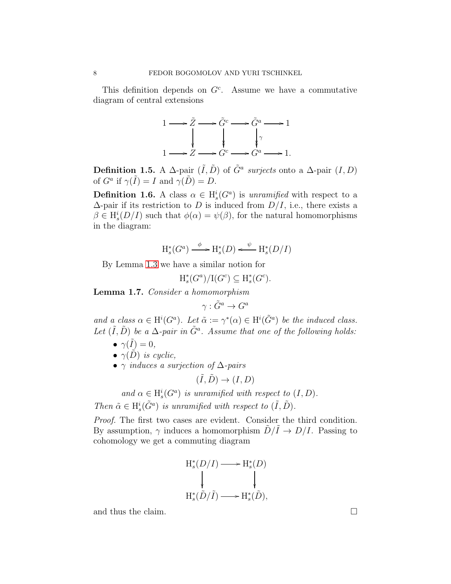This definition depends on  $G<sup>c</sup>$ . Assume we have a commutative diagram of central extensions



**Definition 1.5.** A  $\Delta$ -pair  $(\tilde{I}, \tilde{D})$  of  $\tilde{G}^a$  surjects onto a  $\Delta$ -pair  $(I, D)$ of  $G^a$  if  $\gamma(\tilde{I}) = I$  and  $\gamma(\tilde{D}) = D$ .

**Definition 1.6.** A class  $\alpha \in H_s^i(G^a)$  is unramified with respect to a  $\Delta$ -pair if its restriction to D is induced from  $D/I$ , i.e., there exists a  $\beta \in H_s^i(D/I)$  such that  $\phi(\alpha) = \psi(\beta)$ , for the natural homomorphisms in the diagram:

$$
\mathrm{H}_s^*(G^a) \xrightarrow{\phi} \mathrm{H}_s^*(D) \xleftarrow{\psi} \mathrm{H}_s^*(D/I)
$$

By Lemma [1.3](#page-6-0) we have a similar notion for

 $H_s^*$  $\binom{*}{s}(G^a)/I(G^c) \subseteq H_s^*$  $_{s}^{\ast}(G^{c}).$ 

<span id="page-7-0"></span>Lemma 1.7. Consider a homomorphism

$$
\gamma: \tilde{G}^a \to G^a
$$

and a class  $\alpha \in H^i(G^a)$ . Let  $\tilde{\alpha} := \gamma^*(\alpha) \in H^i(\tilde{G}^a)$  be the induced class. Let  $(\tilde{I}, \tilde{D})$  be a  $\Delta$ -pair in  $\tilde{G}^a$ . Assume that one of the following holds:

- $\gamma(\tilde{I})=0,$
- $\gamma(\tilde{D})$  is cyclic,
- $\gamma$  induces a surjection of  $\Delta$ -pairs

$$
(\tilde{I}, \tilde{D}) \to (I, D)
$$

and  $\alpha \in H_s^i(G^a)$  is unramified with respect to  $(I, D)$ . Then  $\tilde{\alpha} \in H_s^i(\tilde{G}^a)$  is unramified with respect to  $(\tilde{I}, \tilde{D})$ .

Proof. The first two cases are evident. Consider the third condition. By assumption,  $\gamma$  induces a homomorphism  $D/I \to D/I$ . Passing to cohomology we get a commuting diagram

$$
\begin{array}{ccc}\n\mathrm{H}_{s}^{*}(D/I) & \longrightarrow & \mathrm{H}_{s}^{*}(D) \\
\downarrow & & \downarrow \\
\mathrm{H}_{s}^{*}(\tilde{D}/\tilde{I}) & \longrightarrow & \mathrm{H}_{s}^{*}(\tilde{D}),\n\end{array}
$$

and thus the claim.  $\Box$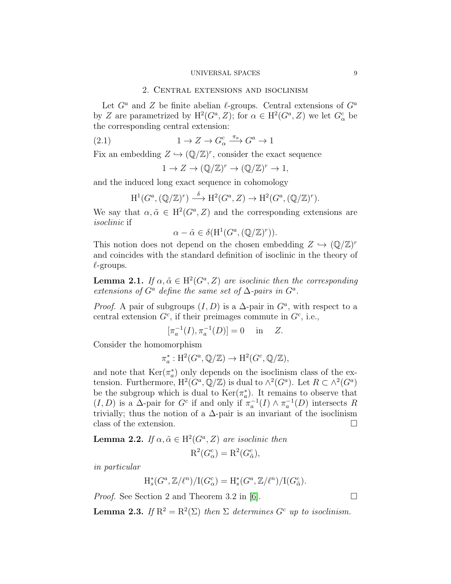## 2. Central extensions and isoclinism

Let  $G^a$  and Z be finite abelian  $\ell$ -groups. Central extensions of  $G^a$ by Z are parametrized by  $H^2(G^a, Z)$ ; for  $\alpha \in H^2(G^a, Z)$  we let  $G^c_\alpha$  be the corresponding central extension:

(2.1)  $1 \to Z \to G^c_\alpha \xrightarrow{\pi_a} G^a \to 1$ 

Fix an embedding  $Z \hookrightarrow (\mathbb{Q}/\mathbb{Z})^r$ , consider the exact sequence

$$
1 \to Z \to (\mathbb{Q}/\mathbb{Z})^r \to (\mathbb{Q}/\mathbb{Z})^r \to 1,
$$

and the induced long exact sequence in cohomology

$$
H^1(G^a, (\mathbb{Q}/\mathbb{Z})^r) \stackrel{\delta}{\longrightarrow} H^2(G^a, Z) \to H^2(G^a, (\mathbb{Q}/\mathbb{Z})^r).
$$

We say that  $\alpha, \tilde{\alpha} \in H^2(G^a, Z)$  and the corresponding extensions are isoclinic if

$$
\alpha - \tilde{\alpha} \in \delta(\mathrm{H}^1(G^a, (\mathbb{Q}/\mathbb{Z})^r)).
$$

This notion does not depend on the chosen embedding  $Z \hookrightarrow (\mathbb{Q}/\mathbb{Z})^r$ and coincides with the standard definition of isoclinic in the theory of  $\ell$ -groups.

<span id="page-8-0"></span>**Lemma 2.1.** If  $\alpha, \tilde{\alpha} \in H^2(G^a, Z)$  are isoclinic then the corresponding extensions of  $G^a$  define the same set of  $\Delta$ -pairs in  $G^a$ .

*Proof.* A pair of subgroups  $(I, D)$  is a  $\Delta$ -pair in  $G^a$ , with respect to a central extension  $G^c$ , if their preimages commute in  $G^c$ , i.e.,

$$
[\pi_a^{-1}(I), \pi_a^{-1}(D)] = 0
$$
 in Z.

Consider the homomorphism

$$
\pi_a^*: H^2(G^a, \mathbb{Q}/\mathbb{Z}) \to H^2(G^c, \mathbb{Q}/\mathbb{Z}),
$$

and note that  $\text{Ker}(\pi_a^*)$ a ) only depends on the isoclinism class of the extension. Furthermore,  $H^2(G^a, \mathbb{Q}/\mathbb{Z})$  is dual to  $\wedge^2(G^a)$ . Let  $R \subset \wedge^2(G^a)$ be the subgroup which is dual to  $\text{Ker}(\pi_a^*)$ a ). It remains to observe that  $(I, D)$  is a  $\Delta$ -pair for  $G^c$  if and only if  $\pi_a^{-1}(I) \wedge \pi_a^{-1}(D)$  intersects R trivially; thus the notion of a  $\Delta$ -pair is an invariant of the isoclinism class of the extension.

**Lemma 2.2.** If  $\alpha, \tilde{\alpha} \in H^2(G^a, Z)$  are isoclinic then  $R^2(G^c_\alpha)=R^2(G^c_{\tilde{\alpha}}),$ 

in particular

$$
\mathrm{H}^*_{s}(G^a,\mathbb{Z}/\ell^n)/\mathrm{I}(G^c_\alpha)=\mathrm{H}^*_{s}(G^a,\mathbb{Z}/\ell^n)/\mathrm{I}(G^c_{\tilde{\alpha}}).
$$

*Proof.* See Section 2 and Theorem 3.2 in [\[6\]](#page-31-7).  $\Box$ 

**Lemma 2.3.** If  $\mathbb{R}^2 = \mathbb{R}^2(\Sigma)$  then  $\Sigma$  determines  $G^c$  up to isoclinism.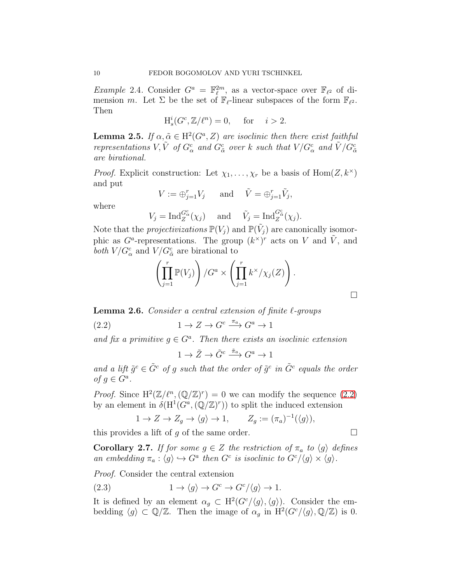*Example* 2.4. Consider  $G^a = \mathbb{F}_{\ell}^{2m}$ , as a vector-space over  $\mathbb{F}_{\ell^2}$  of dimension m. Let  $\Sigma$  be the set of  $\mathbb{F}_{\ell}$ -linear subspaces of the form  $\mathbb{F}_{\ell^2}$ . Then

$$
H_s^i(G^c, \mathbb{Z}/\ell^n) = 0, \quad \text{for} \quad i > 2.
$$

<span id="page-9-2"></span>**Lemma 2.5.** If  $\alpha, \tilde{\alpha} \in H^2(G^a, Z)$  are isoclinic then there exist faithful representations  $V, \tilde{V}$  of  $G_{\alpha}^c$  and  $G_{\tilde{\alpha}}^c$  over k such that  $V/G_{\alpha}^c$  and  $\tilde{V}/G_{\tilde{\alpha}}^c$ are birational.

*Proof.* Explicit construction: Let  $\chi_1, \ldots, \chi_r$  be a basis of Hom $(Z, k^{\times})$ and put

$$
V := \bigoplus_{j=1}^r V_j \quad \text{and} \quad \tilde{V} = \bigoplus_{j=1}^r \tilde{V}_j,
$$

where

$$
V_j = \operatorname{Ind}_{Z}^{G_{\alpha}^{c}}(\chi_j) \quad \text{and} \quad \tilde{V}_j = \operatorname{Ind}_{Z}^{G_{\tilde{\alpha}}^{c}}(\chi_j).
$$

Note that the *projectivizations*  $\mathbb{P}(V_j)$  and  $\mathbb{P}(\tilde{V}_j)$  are canonically isomorphic as  $G^a$ -representations. The group  $(k^{\times})^r$  acts on V and  $\tilde{V}$ , and both  $V/G^c_\alpha$  and  $V/G^c_{\tilde{\alpha}}$  are birational to

$$
\left(\prod_{j=1}^r \mathbb{P}(V_j)\right)/G^a \times \left(\prod_{j=1}^r k^\times/\chi_j(Z)\right).
$$

**Lemma 2.6.** Consider a central extension of finite  $\ell$ -groups

(2.2) 
$$
1 \to Z \to G^c \xrightarrow{\pi_a} G^a \to 1
$$

and fix a primitive  $g \in G^a$ . Then there exists an isoclinic extension

<span id="page-9-0"></span>
$$
1 \to \tilde{Z} \to \tilde{G}^c \xrightarrow{\tilde{\pi}_a} G^a \to 1
$$

and a lift  $\tilde{g}^c \in \tilde{G}^c$  of g such that the order of  $\tilde{g}^c$  in  $\tilde{G}^c$  equals the order of  $g \in G^a$ .

*Proof.* Since  $H^2(\mathbb{Z}/\ell^n, (\mathbb{Q}/\mathbb{Z})^r) = 0$  we can modify the sequence [\(2.2\)](#page-9-0) by an element in  $\delta(\mathrm{H}^1(G^a,(\mathbb{Q}/\mathbb{Z})^r))$  to split the induced extension

$$
1 \to Z \to Z_g \to \langle g \rangle \to 1, \qquad Z_g := (\pi_a)^{-1}(\langle g \rangle),
$$

this provides a lift of q of the same order.  $\Box$ 

**Corollary 2.7.** If for some  $g \in Z$  the restriction of  $\pi_a$  to  $\langle g \rangle$  defines an embedding  $\pi_a : \langle g \rangle \hookrightarrow G^a$  then  $G^c$  is isoclinic to  $G^c/\langle g \rangle \times \langle g \rangle$ .

Proof. Consider the central extension

<span id="page-9-1"></span>(2.3) 
$$
1 \to \langle g \rangle \to G^c \to G^c/\langle g \rangle \to 1.
$$

It is defined by an element  $\alpha_g \,\subset\, \mathrm{H}^2(G^c/\langle g \rangle,\langle g \rangle)$ . Consider the embedding  $\langle g \rangle \subset \mathbb{Q}/\mathbb{Z}$ . Then the image of  $\alpha_g$  in  $\mathrm{H}^2(G^c/\langle g \rangle, \mathbb{Q}/\mathbb{Z})$  is 0.

 $\Box$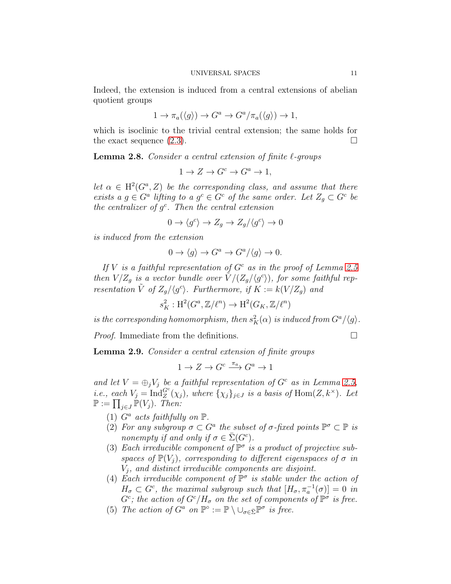Indeed, the extension is induced from a central extensions of abelian quotient groups

$$
1 \to \pi_a(\langle g \rangle) \to G^a \to G^a/\pi_a(\langle g \rangle) \to 1,
$$

which is isoclinic to the trivial central extension; the same holds for the exact sequence  $(2.3)$ .

**Lemma 2.8.** Consider a central extension of finite  $\ell$ -groups

$$
1 \to Z \to G^c \to G^a \to 1,
$$

let  $\alpha \in H^2(G^a, Z)$  be the corresponding class, and assume that there exists a  $g \in G^a$  lifting to a  $g^c \in G^c$  of the same order. Let  $Z_g \subset G^c$  be the centralizer of  $g<sup>c</sup>$ . Then the central extension

$$
0 \to \langle g^c \rangle \to Z_g \to Z_g/\langle g^c \rangle \to 0
$$

is induced from the extension

$$
0 \to \langle g \rangle \to G^a \to G^a/\langle g \rangle \to 0.
$$

If V is a faithful representation of  $G<sup>c</sup>$  as in the proof of Lemma [2.5](#page-9-2) then  $V/Z_g$  is a vector bundle over  $\tilde{V}/(Z_g/\langle g^c \rangle)$ , for some faithful representation  $\tilde{V}$  of  $Z_g/\langle g^c \rangle$ . Furthermore, if  $K := k(V/Z_g)$  and

$$
s_K^2: \mathrm{H}^2(G^a, \mathbb{Z}/\ell^n) \to \mathrm{H}^2(G_K, \mathbb{Z}/\ell^n)
$$

is the corresponding homomorphism, then  $s_K^2(\alpha)$  is induced from  $G^a/\langle g\rangle$ .

*Proof.* Immediate from the definitions.  $\Box$ 

<span id="page-10-0"></span>Lemma 2.9. Consider a central extension of finite groups

$$
1 \to Z \to G^c \xrightarrow{\pi_a} G^a \to 1
$$

and let  $V = \bigoplus_j V_j$  be a faithful representation of  $G^c$  as in Lemma [2.5,](#page-9-2) *i.e.*, each  $V_j = \text{Ind}_{Z}^{G^c}(\chi_j)$ , where  $\{\chi_j\}_{j\in J}$  is a basis of  $\text{Hom}(Z, k^{\times})$ . Let  $\mathbb{P} := \prod_{j \in J} \mathbb{P}(V_j)$ . Then:

- (1)  $G^a$  acts faithfully on  $\mathbb P$ .
- (2) For any subgroup  $\sigma \subset G^a$  the subset of  $\sigma$ -fixed points  $\mathbb{P}^{\sigma} \subset \mathbb{P}$  is nonempty if and only if  $\sigma \in \overline{\Sigma}(G^c)$ .
- (3) Each irreducible component of  $\mathbb{P}^{\sigma}$  is a product of projective subspaces of  $\mathbb{P}(V_i)$ , corresponding to different eigenspaces of  $\sigma$  in  $V_j$ , and distinct irreducible components are disjoint.
- (4) Each irreducible component of  $\mathbb{P}^{\sigma}$  is stable under the action of  $H_{\sigma} \subset G^c$ , the maximal subgroup such that  $[H_{\sigma}, \pi_a^{-1}(\sigma)] = 0$  in  $G^c$ ; the action of  $G^c/H_\sigma$  on the set of components of  $\mathbb{P}^\sigma$  is free.
- (5) The action of  $G^a$  on  $\mathbb{P}^\circ := \mathbb{P} \setminus \bigcup_{\sigma \in \bar{\Sigma}} \mathbb{P}^\sigma$  is free.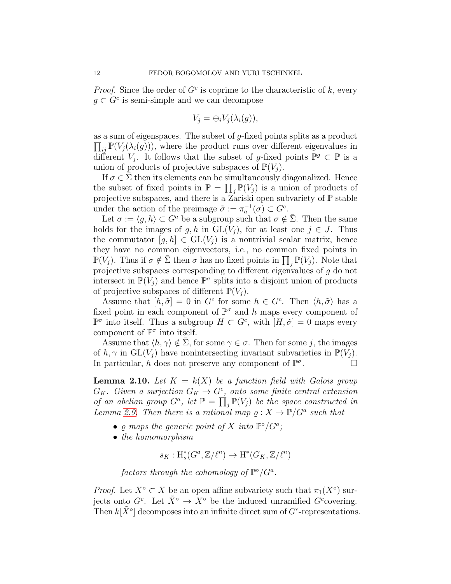*Proof.* Since the order of  $G^c$  is coprime to the characteristic of k, every  $g \subset G^c$  is semi-simple and we can decompose

$$
V_j = \bigoplus_i V_j(\lambda_i(g)),
$$

 $\prod_{ij} \mathbb{P}(V_j(\lambda_i(g)))$ , where the product runs over different eigenvalues in as a sum of eigenspaces. The subset of  $g$ -fixed points splits as a product different  $V_j$ . It follows that the subset of g-fixed points  $\mathbb{P}^g \subset \mathbb{P}$  is a union of products of projective subspaces of  $\mathbb{P}(V_i)$ .

If  $\sigma \in \Sigma$  then its elements can be simultaneously diagonalized. Hence the subset of fixed points in  $\mathbb{P} = \prod_j \mathbb{P}(V_j)$  is a union of products of projective subspaces, and there is a Zariski open subvariety of  $\mathbb P$  stable under the action of the preimage  $\tilde{\sigma} := \pi_a^{-1}(\sigma) \subset G^c$ .

Let  $\sigma := \langle q, h \rangle \subset G^a$  be a subgroup such that  $\sigma \notin \overline{\Sigma}$ . Then the same holds for the images of g, h in  $GL(V_i)$ , for at least one  $j \in J$ . Thus the commutator  $[g, h] \in GL(V_i)$  is a nontrivial scalar matrix, hence they have no common eigenvectors, i.e., no common fixed points in  $\mathbb{P}(V_j)$ . Thus if  $\sigma \notin \overline{\Sigma}$  then  $\sigma$  has no fixed points in  $\prod_j \mathbb{P}(V_j)$ . Note that projective subspaces corresponding to different eigenvalues of g do not intersect in  $\mathbb{P}(V_j)$  and hence  $\mathbb{P}^{\sigma}$  splits into a disjoint union of products of projective subspaces of different  $\mathbb{P}(V_i)$ .

Assume that  $[h, \tilde{\sigma}] = 0$  in  $G^c$  for some  $h \in G^c$ . Then  $\langle h, \tilde{\sigma} \rangle$  has a fixed point in each component of  $\mathbb{P}^{\sigma}$  and h maps every component of  $\mathbb{P}^{\sigma}$  into itself. Thus a subgroup  $H \subset G^c$ , with  $[H, \tilde{\sigma}] = 0$  maps every component of  $\mathbb{P}^{\sigma}$  into itself.

Assume that  $\langle h, \gamma \rangle \notin \Sigma$ , for some  $\gamma \in \sigma$ . Then for some j, the images of  $h, \gamma$  in  $GL(V_i)$  have nonintersecting invariant subvarieties in  $\mathbb{P}(V_i)$ . In particular, h does not preserve any component of  $\mathbb{P}^{\sigma}$ .

**Lemma 2.10.** Let  $K = k(X)$  be a function field with Galois group  $G_K$ . Given a surjection  $G_K \to G^c$ , onto some finite central extension of an abelian group  $G^a$ , let  $\mathbb{P} = \prod_j \mathbb{P}(V_j)$  be the space constructed in Lemma [2.9.](#page-10-0) Then there is a rational map  $\varrho: X \to \mathbb{P}/G^a$  such that

- $\varrho$  maps the generic point of X into  $\mathbb{P}^{\circ}/G^a$ ;
- the homomorphism

 $s_K: \mathrm{H}_s^*(G^a, \mathbb{Z}/\ell^n) \to \mathrm{H}^*(G_K, \mathbb{Z}/\ell^n)$ 

factors through the cohomology of  $\mathbb{P}^{\circ}/G^a$ .

*Proof.* Let  $X^{\circ} \subset X$  be an open affine subvariety such that  $\pi_1(X^{\circ})$  surjects onto  $G^c$ . Let  $\tilde{X}^{\circ} \to X^{\circ}$  be the induced unramified  $G^c$ covering. Then  $k[\tilde{X}^{\circ}]$  decomposes into an infinite direct sum of  $G^c$ -representations.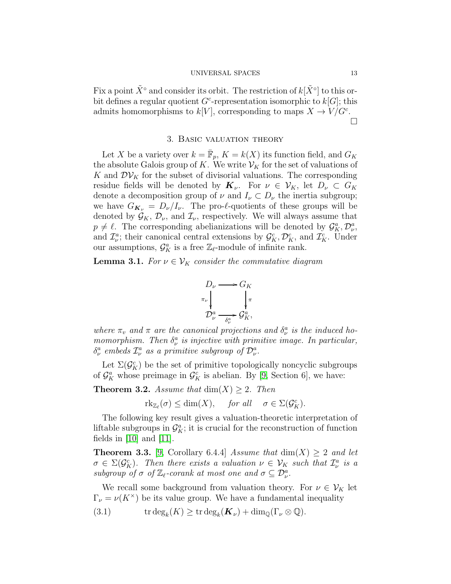Fix a point  $\tilde{X}^{\circ}$  and consider its orbit. The restriction of  $k[\tilde{X}^{\circ}]$  to this orbit defines a regular quotient  $G^c$ -representation isomorphic to  $k[G]$ ; this admits homomorphisms to  $k[V]$ , corresponding to maps  $X \to V/G^c$ .  $\Box$ 

## 3. Basic valuation theory

<span id="page-12-0"></span>Let X be a variety over  $k = \overline{\mathbb{F}}_p$ ,  $K = k(X)$  its function field, and  $G_K$ the absolute Galois group of K. We write  $\mathcal{V}_K$  for the set of valuations of K and  $\mathcal{D}\mathcal{V}_K$  for the subset of divisorial valuations. The corresponding residue fields will be denoted by  $\mathbf{K}_{\nu}$ . For  $\nu \in \mathcal{V}_K$ , let  $D_{\nu} \subset G_K$ denote a decomposition group of  $\nu$  and  $I_{\nu} \subset D_{\nu}$  the inertia subgroup; we have  $G_{\mathbf{K}_{\nu}} = D_{\nu}/I_{\nu}$ . The pro- $\ell$ -quotients of these groups will be denoted by  $\mathcal{G}_K, \mathcal{D}_\nu$ , and  $\mathcal{I}_\nu$ , respectively. We will always assume that  $p \neq \ell$ . The corresponding abelianizations will be denoted by  $\mathcal{G}_{K}^{a}, \mathcal{D}_{\nu}^{a}$ , and  $\mathcal{I}_{\nu}^{a}$ ; their canonical central extensions by  $\mathcal{G}_{K}^{c}, \mathcal{D}_{K}^{c}$ , and  $\mathcal{I}_{K}^{c}$ . Under our assumptions,  $\mathcal{G}_{K}^{a}$  is a free  $\mathbb{Z}_{\ell}$ -module of infinite rank.

**Lemma 3.1.** For  $\nu \in V_K$  consider the commutative diagram

$$
D_{\nu} \longrightarrow G_{K}
$$
  
\n
$$
\pi_{\nu} \downarrow \qquad \qquad \downarrow \pi
$$
  
\n
$$
D_{\nu}^{a} \longrightarrow \frac{G_{K}}{\delta_{\nu}^{a}} G_{K}^{a},
$$

where  $\pi_v$  and  $\pi$  are the canonical projections and  $\delta_v^a$  is the induced homomorphism. Then  $\delta_{\nu}^{a}$  is injective with primitive image. In particular,  $\delta^a_\nu$  embeds  $\mathcal{I}^a_\nu$  as a primitive subgroup of  $\mathcal{D}^a_\nu$ .

Let  $\Sigma(\mathcal{G}_{K}^{c})$  be the set of primitive topologically noncyclic subgroups of  $\mathcal{G}_{K}^{a}$  whose preimage in  $\mathcal{G}_{K}^{c}$  is abelian. By [\[9,](#page-31-8) Section 6], we have:

**Theorem 3.2.** Assume that  $\dim(X) \geq 2$ . Then

 $\text{rk}_{\mathbb{Z}_{\ell}}(\sigma) \leq \dim(X), \quad \text{for all} \quad \sigma \in \Sigma(\mathcal{G}_K^c).$ 

The following key result gives a valuation-theoretic interpretation of liftable subgroups in  $\mathcal{G}_{K}^{a}$ ; it is crucial for the reconstruction of function fields in  $[10]$  and  $[11]$ .

**Theorem 3.3.** [\[9,](#page-31-8) Corollary 6.4.4] Assume that  $\dim(X) \geq 2$  and let  $\sigma \in \Sigma(\mathcal{G}_{K}^{c})$ . Then there exists a valuation  $\nu \in \mathcal{V}_{K}$  such that  $\mathcal{I}_{\nu}^{a}$  is a subgroup of  $\sigma$  of  $\mathbb{Z}_{\ell}$ -corank at most one and  $\sigma \subseteq \mathcal{D}_{\nu}^a$ .

We recall some background from valuation theory. For  $\nu \in V_K$  let  $\Gamma_{\nu} = \nu(K^{\times})$  be its value group. We have a fundamental inequality

<span id="page-12-1"></span>(3.1) 
$$
\operatorname{trdeg}_k(K) \geq \operatorname{trdeg}_k(\mathbf{K}_{\nu}) + \dim_{\mathbb{Q}}(\Gamma_{\nu} \otimes \mathbb{Q}).
$$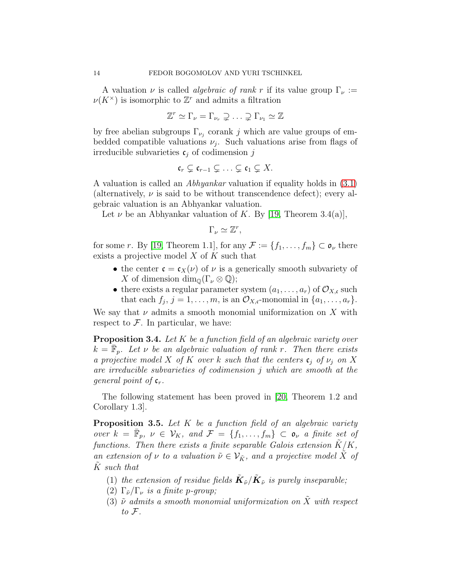A valuation  $\nu$  is called *algebraic of rank r* if its value group  $\Gamma_{\nu}$  :=  $\nu(K^{\times})$  is isomorphic to  $\mathbb{Z}^r$  and admits a filtration

$$
\mathbb{Z}^r \simeq \Gamma_{\nu} = \Gamma_{\nu_r} \supsetneq \ldots \supsetneq \Gamma_{\nu_1} \simeq \mathbb{Z}
$$

by free abelian subgroups  $\Gamma_{\nu_j}$  corank j which are value groups of embedded compatible valuations  $\nu_j$ . Such valuations arise from flags of irreducible subvarieties  $c_j$  of codimension j

$$
\mathfrak{c}_r \subsetneq \mathfrak{c}_{r-1} \subsetneq \ldots \subsetneq \mathfrak{c}_1 \subsetneq X.
$$

A valuation is called an Abhyankar valuation if equality holds in [\(3.1\)](#page-12-1) (alternatively,  $\nu$  is said to be without transcendence defect); every algebraic valuation is an Abhyankar valuation.

Let  $\nu$  be an Abhyankar valuation of K. By [\[19,](#page-32-3) Theorem 3.4(a)],

 $\Gamma_{\nu} \simeq \mathbb{Z}^r$ ,

for some r. By [\[19,](#page-32-3) Theorem 1.1], for any  $\mathcal{F} := \{f_1, \ldots, f_m\} \subset \mathfrak{o}_{\nu}$  there exists a projective model  $X$  of  $K$  such that

- the center  $\mathfrak{c} = \mathfrak{c}_X(\nu)$  of  $\nu$  is a generically smooth subvariety of X of dimension  $\dim_{\mathbb{Q}}(\Gamma_{\nu}\otimes\mathbb{Q});$
- there exists a regular parameter system  $(a_1, \ldots, a_r)$  of  $\mathcal{O}_{X,\mathfrak{c}}$  such that each  $f_j$ ,  $j = 1, \ldots, m$ , is an  $\mathcal{O}_{X,\mathfrak{c}}$ -monomial in  $\{a_1, \ldots, a_r\}$ .

We say that  $\nu$  admits a smooth monomial uniformization on X with respect to  $\mathcal F$ . In particular, we have:

<span id="page-13-1"></span>**Proposition 3.4.** Let K be a function field of an algebraic variety over  $k = \overline{\mathbb{F}}_p$ . Let  $\nu$  be an algebraic valuation of rank r. Then there exists a projective model X of K over k such that the centers  $\mathfrak{c}_i$  of  $\nu_i$  on X are irreducible subvarieties of codimension j which are smooth at the general point of  $c_r$ .

The following statement has been proved in [\[20,](#page-32-4) Theorem 1.2 and Corollary 1.3].

<span id="page-13-0"></span>**Proposition 3.5.** Let  $K$  be a function field of an algebraic variety over  $k = \overline{\mathbb{F}}_p$ ,  $\nu \in \mathcal{V}_K$ , and  $\mathcal{F} = \{f_1, \ldots, f_m\} \subset \mathfrak{o}_{\nu}$  a finite set of functions. Then there exists a finite separable Galois extension  $K/K$ , an extension of  $\nu$  to a valuation  $\tilde{\nu} \in \mathcal{V}_{\tilde{K}}$ , and a projective model  $\tilde{X}$  of K such that

- (1) the extension of residue fields  $\tilde K_{\tilde \nu}/\tilde K_{\tilde \nu}$  is purely inseparable;
- (2)  $\Gamma_{\tilde{\nu}}/\Gamma_{\nu}$  is a finite p-group;
- (3)  $\tilde{\nu}$  admits a smooth monomial uniformization on  $\tilde{X}$  with respect to  $\mathcal{F}.$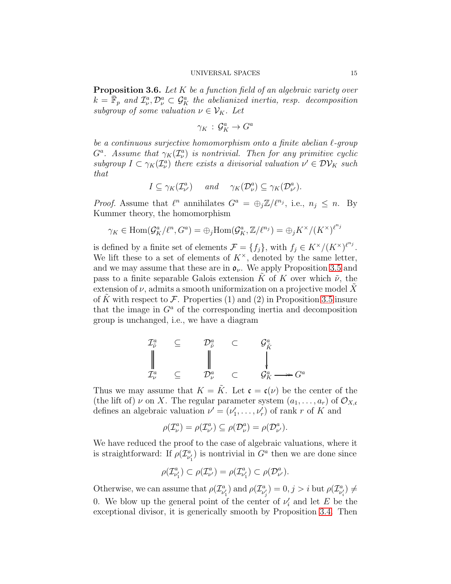<span id="page-14-0"></span>**Proposition 3.6.** Let  $K$  be a function field of an algebraic variety over  $k = \overline{\mathbb{F}}_p$  and  $\mathcal{I}_{\nu}^a, \mathcal{D}_{\nu}^a \subset \mathcal{G}_{K}^a$  the abelianized inertia, resp. decomposition subgroup of some valuation  $\nu \in V_K$ . Let

$$
\gamma_K\,:\,\mathcal{G}_K^a\to G^a
$$

be a continuous surjective homomorphism onto a finite abelian ℓ-group  $G^a$ . Assume that  $\gamma_K(\mathcal{I}_{\nu}^a)$  is nontrivial. Then for any primitive cyclic subgroup  $I \subset \gamma_K(\mathcal{I}_{\nu}^a)$  there exists a divisorial valuation  $\nu' \in \mathcal{DV}_K$  such that

$$
I \subseteq \gamma_K(\mathcal{I}_{\nu'}^a)
$$
 and  $\gamma_K(\mathcal{D}_{\nu}^a) \subseteq \gamma_K(\mathcal{D}_{\nu'}^a)$ .

*Proof.* Assume that  $\ell^n$  annihilates  $G^a = \bigoplus_j \mathbb{Z}/\ell^{n_j}$ , i.e.,  $n_j \leq n$ . By Kummer theory, the homomorphism

$$
\gamma_K \in \text{Hom}(\mathcal{G}_K^a/\ell^n, G^a) = \bigoplus_j \text{Hom}(\mathcal{G}_K^a, \mathbb{Z}/\ell^{n_j}) = \bigoplus_j K^\times / (K^\times)^{\ell^{n_j}}
$$

is defined by a finite set of elements  $\mathcal{F} = \{f_j\}$ , with  $f_j \in K^\times/(K^\times)^{\ell^{n_j}}$ . We lift these to a set of elements of  $K^{\times}$ , denoted by the same letter, and we may assume that these are in  $\mathfrak{o}_{\nu}$ . We apply Proposition [3.5](#page-13-0) and pass to a finite separable Galois extension K of K over which  $\tilde{\nu}$ , the extension of  $\nu$ , admits a smooth uniformization on a projective model X of K with respect to F. Properties (1) and (2) in Proposition [3.5](#page-13-0) insure that the image in  $G^a$  of the corresponding inertia and decomposition group is unchanged, i.e., we have a diagram

$$
\begin{array}{ccccccc}\n\mathcal{I}_{\tilde{\nu}}^{a} & \subseteq & \mathcal{D}_{\tilde{\nu}}^{a} & \subset & \mathcal{G}_{\tilde{K}}^{a} \\
\parallel & & & \parallel & & \parallel & & \\
\mathcal{I}_{\nu}^{a} & \subseteq & \mathcal{D}_{\nu}^{a} & \subset & \mathcal{G}_{K}^{a} \longrightarrow G^{a} \\
\end{array}
$$

Thus we may assume that  $K = \tilde{K}$ . Let  $\mathfrak{c} = \mathfrak{c}(\nu)$  be the center of the (the lift of)  $\nu$  on X. The regular parameter system  $(a_1, \ldots, a_r)$  of  $\mathcal{O}_{X,\mathfrak{c}}$ defines an algebraic valuation  $\nu' = (\nu'_1)$  $(v'_1, \ldots, v'_r)$  of rank r of K and

$$
\rho(\mathcal{I}_{\nu}^{a}) = \rho(\mathcal{I}_{\nu'}^{a}) \subseteq \rho(\mathcal{D}_{\nu}^{a}) = \rho(\mathcal{D}_{\nu'}^{a}).
$$

We have reduced the proof to the case of algebraic valuations, where it is straightforward: If  $\rho(\mathcal{I}_{\nu}^a)$  $\binom{a}{\nu'_1}$  is nontrivial in  $G^a$  then we are done since

$$
\rho(\mathcal{I}_{\nu'_1}^a) \subset \rho(\mathcal{I}_{\nu'}^a) = \rho(\mathcal{I}_{\nu'_1}^a) \subset \rho(\mathcal{D}_{\nu'}^a).
$$

Otherwise, we can assume that  $\rho(\mathcal{I}_{\nu'_1})$  and  $\rho(\mathcal{I}_{\nu'_j}) = 0, j > i$  but  $\rho(\mathcal{I}_{\nu'_i}) \neq i$ 0. We blow up the general point of the center of  $\nu'_i$  $i'$  and let E be the exceptional divisor, it is generically smooth by Proposition [3.4.](#page-13-1) Then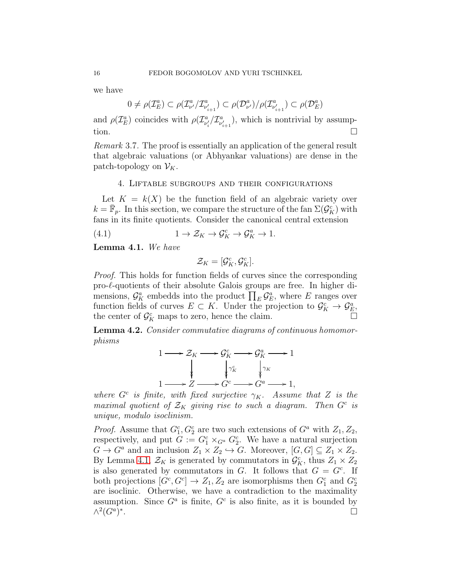we have

 $0 \neq \rho(\mathcal{I}_{E}^{a}) \subset \rho(\mathcal{I}_{\nu'}^{a}/\mathcal{I}_{\nu'_{i+1}}^{a}) \subset \rho(\mathcal{D}_{\nu'}^{a})/\rho(\mathcal{I}_{\nu'_{i+1}}^{a}) \subset \rho(\mathcal{D}_{E}^{a})$ 

and  $\rho(\mathcal{I}_{E}^{a})$  coincides with  $\rho(\mathcal{I}_{\nu'_{i}}^{a}/\mathcal{I}_{\nu'_{i+1}}^{a})$ , which is nontrivial by assumption.  $\Box$ 

Remark 3.7. The proof is essentially an application of the general result that algebraic valuations (or Abhyankar valuations) are dense in the patch-topology on  $\mathcal{V}_K$ .

## 4. Liftable subgroups and their configurations

Let  $K = k(X)$  be the function field of an algebraic variety over  $k = \bar{\mathbb{F}}_p$ . In this section, we compare the structure of the fan  $\Sigma(\mathcal{G}_K^c)$  with fans in its finite quotients. Consider the canonical central extension

(4.1) 
$$
1 \to \mathcal{Z}_K \to \mathcal{G}_K^c \to \mathcal{G}_K^a \to 1.
$$

<span id="page-15-0"></span>Lemma 4.1. We have

$$
\mathcal{Z}_K=[\mathcal{G}_K^c,\mathcal{G}_K^c].
$$

Proof. This holds for function fields of curves since the corresponding pro- $\ell$ -quotients of their absolute Galois groups are free. In higher dimensions,  $\mathcal{G}_{K}^{a}$  embedds into the product  $\prod_{E}\mathcal{G}_{E}^{a}$ , where E ranges over function fields of curves  $E \subset K$ . Under the projection to  $\mathcal{G}_{K}^{c} \to \mathcal{G}_{E}^{a}$ , the center of  $\mathcal{G}_{K}^{c}$  maps to zero, hence the claim.

<span id="page-15-1"></span>Lemma 4.2. Consider commutative diagrams of continuous homomorphisms

$$
1 \longrightarrow \mathcal{Z}_K \longrightarrow \mathcal{G}_K^c \longrightarrow \mathcal{G}_K^a \longrightarrow 1
$$
  
\n
$$
\downarrow \qquad \qquad \downarrow \gamma_K^c \qquad \qquad \downarrow \gamma_K
$$
  
\n
$$
1 \longrightarrow Z \longrightarrow G^c \longrightarrow G^a \longrightarrow 1,
$$

where  $G^c$  is finite, with fixed surjective  $\gamma_K$ . Assume that Z is the maximal quotient of  $\mathcal{Z}_K$  giving rise to such a diagram. Then  $G^c$  is unique, modulo isoclinism.

*Proof.* Assume that  $G_1^c, G_2^c$  are two such extensions of  $G^a$  with  $Z_1, Z_2$ , respectively, and put  $G := G_1^c \times_{G^a} G_2^c$ . We have a natural surjection  $G \to G^a$  and an inclusion  $Z_1 \times Z_2 \hookrightarrow G$ . Moreover,  $[G, G] \subseteq Z_1 \times Z_2$ . By Lemma [4.1,](#page-15-0)  $\mathcal{Z}_K$  is generated by commutators in  $\mathcal{G}_K^c$ , thus  $Z_1 \times Z_2$ is also generated by commutators in  $G$ . It follows that  $G = G<sup>c</sup>$ . If both projections  $[G^c, G^c] \to Z_1, Z_2$  are isomorphisms then  $G_1^c$  and  $G_2^c$ are isoclinic. Otherwise, we have a contradiction to the maximality assumption. Since  $G^a$  is finite,  $G^c$  is also finite, as it is bounded by  $\wedge^2(G^a)^*$ .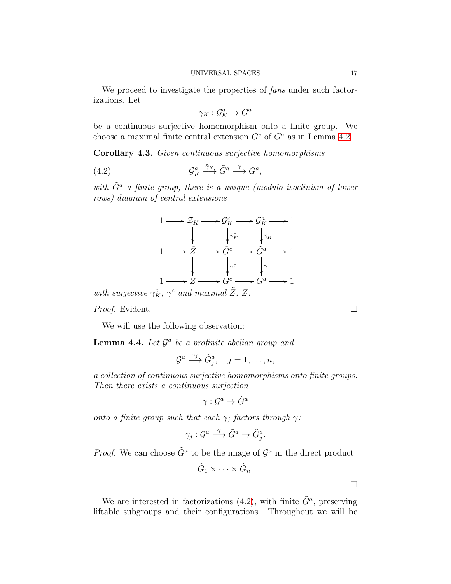We proceed to investigate the properties of fans under such factorizations. Let

<span id="page-16-0"></span>
$$
\gamma_K : \mathcal{G}_K^a \to G^a
$$

be a continuous surjective homomorphism onto a finite group. We choose a maximal finite central extension  $G<sup>c</sup>$  of  $G<sup>a</sup>$  as in Lemma [4.2.](#page-15-1)

<span id="page-16-1"></span>Corollary 4.3. Given continuous surjective homomorphisms

(4.2) 
$$
\mathcal{G}_K^a \xrightarrow{\tilde{\gamma}_K} \tilde{G}^a \xrightarrow{\gamma} G^a,
$$

with  $\tilde{G}^a$  a finite group, there is a unique (modulo isoclinism of lower rows) diagram of central extensions



*Proof.* Evident. □

We will use the following observation:

<span id="page-16-2"></span>**Lemma 4.4.** Let  $\mathcal{G}^a$  be a profinite abelian group and

$$
\mathcal{G}^a \stackrel{\gamma_j}{\longrightarrow} \tilde{G}^a_j, \quad j=1,\ldots,n,
$$

a collection of continuous surjective homomorphisms onto finite groups. Then there exists a continuous surjection

$$
\gamma: \mathcal{G}^a \to \tilde{G}^a
$$

onto a finite group such that each  $\gamma_j$  factors through  $\gamma$ :

$$
\gamma_j: \mathcal{G}^a \stackrel{\gamma}{\longrightarrow} \tilde{G}^a \to \tilde{G}^a_j.
$$

*Proof.* We can choose  $\tilde{G}^a$  to be the image of  $\mathcal{G}^a$  in the direct product

$$
\tilde{G}_1 \times \cdots \times \tilde{G}_n.
$$

We are interested in factorizations [\(4.2\)](#page-16-0), with finite  $\tilde{G}^a$ , preserving liftable subgroups and their configurations. Throughout we will be

 $\Box$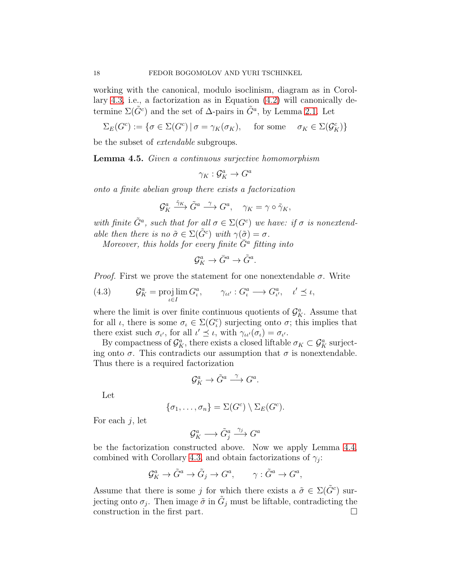working with the canonical, modulo isoclinism, diagram as in Corollary [4.3,](#page-16-1) i.e., a factorization as in Equation [\(4.2\)](#page-16-0) will canonically determine  $\Sigma(\tilde{G}^c)$  and the set of  $\Delta$ -pairs in  $\tilde{G}^a$ , by Lemma [2.1.](#page-8-0) Let

$$
\Sigma_E(G^c) := \{ \sigma \in \Sigma(G^c) \mid \sigma = \gamma_K(\sigma_K), \quad \text{ for some } \quad \sigma_K \in \Sigma(\mathcal{G}_K^c) \}
$$

be the subset of extendable subgroups.

<span id="page-17-0"></span>Lemma 4.5. Given a continuous surjective homomorphism

 $\gamma_K : \mathcal{G}_K^a \to G^a$ 

onto a finite abelian group there exists a factorization

$$
\mathcal{G}_K^a \xrightarrow{\tilde{\gamma}_K} \tilde{G}^a \xrightarrow{\gamma} G^a, \quad \gamma_K = \gamma \circ \tilde{\gamma}_K,
$$

with finite  $\tilde{G}^a$ , such that for all  $\sigma \in \Sigma(G^c)$  we have: if  $\sigma$  is nonextendable then there is no  $\tilde{\sigma} \in \Sigma(\tilde{G}^c)$  with  $\gamma(\tilde{\sigma}) = \sigma$ .

Moreover, this holds for every finite  $\bar{G}^a$  fitting into

$$
\mathcal{G}_K^a \to \bar{G}^a \to \tilde{G}^a.
$$

*Proof.* First we prove the statement for one nonextendable  $\sigma$ . Write

(4.3) 
$$
\mathcal{G}_K^a = \projlim_{\iota \in I} G_\iota^a, \qquad \gamma_{\iota \iota'} : G_\iota^a \longrightarrow G_{\iota'}^a, \quad \iota' \preceq \iota,
$$

where the limit is over finite continuous quotients of  $\mathcal{G}_{K}^{a}$ . Assume that for all  $\iota$ , there is some  $\sigma_{\iota} \in \Sigma(G_{\iota}^c)$  surjecting onto  $\sigma$ ; this implies that there exist such  $\sigma_{\iota'}$ , for all  $\iota' \preceq \iota$ , with  $\gamma_{\iota \iota'}(\sigma_{\iota}) = \sigma_{\iota'}$ .

By compactness of  $\mathcal{G}_{K}^{a}$ , there exists a closed liftable  $\sigma_{K} \subset \mathcal{G}_{K}^{a}$  surjecting onto  $\sigma$ . This contradicts our assumption that  $\sigma$  is nonextendable. Thus there is a required factorization

$$
\mathcal{G}_K^a \to \tilde{G}^a \stackrel{\gamma}{\longrightarrow} G^a.
$$

Let

$$
\{\sigma_1,\ldots,\sigma_n\}=\Sigma(G^c)\setminus\Sigma_E(G^c).
$$

For each  $i$ , let

$$
\mathcal{G}_K^a \longrightarrow \tilde{G}_j^a \stackrel{\gamma_j}{\longrightarrow} G^a
$$

be the factorization constructed above. Now we apply Lemma [4.4,](#page-16-2) combined with Corollary [4.3,](#page-16-1) and obtain factorizations of  $\gamma_j$ :

$$
\mathcal{G}_K^a \to \tilde{G}^a \to \tilde{G}_j \to G^a, \qquad \gamma: \tilde{G}^a \to G^a,
$$

Assume that there is some j for which there exists a  $\tilde{\sigma} \in \Sigma(\tilde{G}^c)$  surjecting onto  $\sigma_j$ . Then image  $\tilde{\sigma}$  in  $\tilde{G}_j$  must be liftable, contradicting the construction in the first part.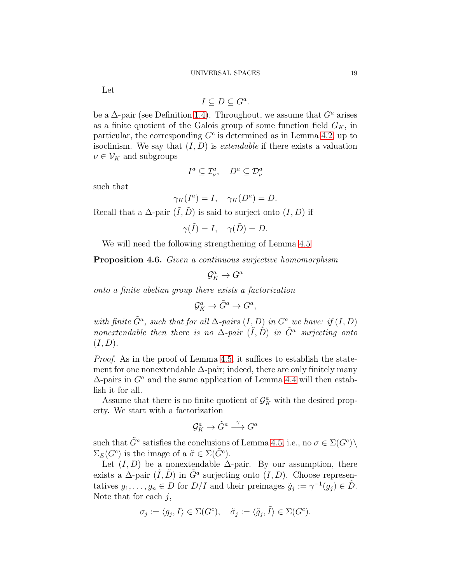Let

$$
I \subseteq D \subseteq G^a.
$$

be a  $\Delta$ -pair (see Definition [1.4\)](#page-6-1). Throughout, we assume that  $G^a$  arises as a finite quotient of the Galois group of some function field  $G_K$ , in particular, the corresponding  $G<sup>c</sup>$  is determined as in Lemma [4.2,](#page-15-1) up to isoclinism. We say that  $(I, D)$  is *extendable* if there exists a valuation  $\nu \in \mathcal{V}_K$  and subgroups

$$
I^a \subseteq \mathcal{I}^a_\nu, \quad D^a \subseteq \mathcal{D}^a_\nu
$$

such that

$$
\gamma_K(I^a) = I, \quad \gamma_K(D^a) = D.
$$

Recall that a  $\Delta$ -pair  $(\tilde{I}, \tilde{D})$  is said to surject onto  $(I, D)$  if

$$
\gamma(\tilde{I}) = I, \quad \gamma(\tilde{D}) = D.
$$

We will need the following strengthening of Lemma [4.5](#page-17-0)

<span id="page-18-0"></span>Proposition 4.6. Given a continuous surjective homomorphism

 $\mathcal{G}_K^a \to G^a$ 

onto a finite abelian group there exists a factorization

$$
\mathcal{G}_K^a \to \tilde{G}^a \to G^a,
$$

with finite  $\tilde{G}^a$ , such that for all  $\Delta$ -pairs  $(I, D)$  in  $G^a$  we have: if  $(I, D)$ nonextendable then there is no  $\Delta$ -pair  $(\tilde{I}, \tilde{D})$  in  $\tilde{G}^a$  surjecting onto  $(I, D)$ .

Proof. As in the proof of Lemma [4.5,](#page-17-0) it suffices to establish the statement for one nonextendable  $\Delta$ -pair; indeed, there are only finitely many  $\Delta$ -pairs in  $G^a$  and the same application of Lemma [4.4](#page-16-2) will then establish it for all.

Assume that there is no finite quotient of  $\mathcal{G}_{K}^{a}$  with the desired property. We start with a factorization

$$
\mathcal{G}_K^a \to \tilde{G}^a \stackrel{\gamma}{\longrightarrow} G^a
$$

such that  $\tilde{G}^a$  satisfies the conclusions of Lemma [4.5,](#page-17-0) i.e., no  $\sigma \in \Sigma(G^c) \setminus$  $\Sigma_E(G^c)$  is the image of a  $\tilde{\sigma} \in \Sigma(\tilde{G}^c)$ .

Let  $(I, D)$  be a nonextendable  $\Delta$ -pair. By our assumption, there exists a  $\Delta$ -pair  $(\tilde{I}, \tilde{D})$  in  $\tilde{G}^a$  surjecting onto  $(I, D)$ . Choose representatives  $g_1, \ldots, g_n \in D$  for  $D/I$  and their preimages  $\tilde{g}_j := \gamma^{-1}(g_j) \in \tilde{D}$ . Note that for each  $j$ ,

$$
\sigma_j := \langle g_j, I \rangle \in \Sigma(G^c), \quad \tilde{\sigma}_j := \langle \tilde{g}_j, \tilde{I} \rangle \in \Sigma(G^c).
$$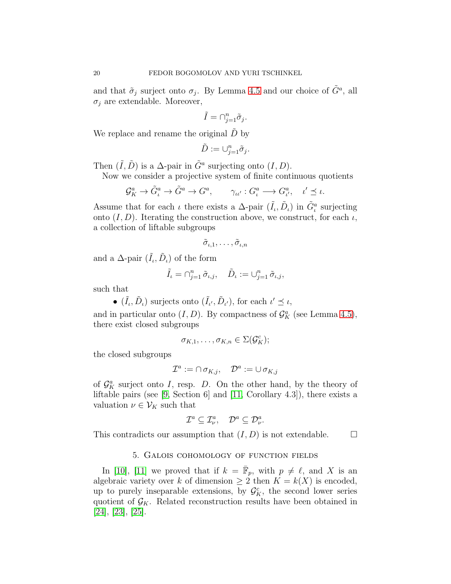and that  $\tilde{\sigma}_j$  surject onto  $\sigma_j$ . By Lemma [4.5](#page-17-0) and our choice of  $\tilde{G}^a$ , all  $\sigma_i$  are extendable. Moreover,

$$
\tilde{I} = \bigcap_{j=1}^n \tilde{\sigma}_j.
$$

We replace and rename the original  $\tilde{D}$  by

$$
\tilde{D} := \cup_{j=1}^n \tilde{\sigma}_j.
$$

Then  $(\tilde{I}, \tilde{D})$  is a  $\Delta$ -pair in  $\tilde{G}^a$  surjecting onto  $(I, D)$ .

Now we consider a projective system of finite continuous quotients

$$
\mathcal{G}_{K}^{a} \to \tilde{G}_{\iota}^{a} \to \tilde{G}^{a} \to G^{a}, \qquad \gamma_{\iota\iota'} : G_{\iota}^{a} \to G_{\iota'}^{a}, \quad \iota' \preceq \iota.
$$

Assume that for each  $\iota$  there exists a  $\Delta$ -pair  $(\tilde{I}_{\iota}, \tilde{D}_{\iota})$  in  $\tilde{G}_{\iota}^{a}$  surjecting onto  $(I, D)$ . Iterating the construction above, we construct, for each  $\iota$ , a collection of liftable subgroups

$$
\tilde{\sigma}_{\iota,1},\ldots,\tilde{\sigma}_{\iota,n}
$$

and a  $\Delta$ -pair  $(\tilde{I}_{\iota}, \tilde{D}_{\iota})$  of the form

$$
\tilde{I}_{\iota} = \cap_{j=1}^n \tilde{\sigma}_{\iota,j}, \quad \tilde{D}_{\iota} := \cup_{j=1}^n \tilde{\sigma}_{\iota,j},
$$

such that

•  $(\tilde{I}_{\iota}, \tilde{D}_{\iota})$  surjects onto  $(\tilde{I}_{\iota'}, \tilde{D}_{\iota'})$ , for each  $\iota' \preceq \iota$ ,

and in particular onto  $(I, D)$ . By compactness of  $\mathcal{G}_{K}^{a}$  (see Lemma [4.5\)](#page-17-0), there exist closed subgroups

$$
\sigma_{K,1},\ldots,\sigma_{K,n}\in\Sigma(\mathcal{G}_K^c);
$$

the closed subgroups

$$
\mathcal{I}^a := \cap \sigma_{K,j}, \quad \mathcal{D}^a := \cup \sigma_{K,j}
$$

of  $\mathcal{G}_{K}^{a}$  surject onto I, resp. D. On the other hand, by the theory of liftable pairs (see [\[9,](#page-31-8) Section 6] and [\[11,](#page-31-9) Corollary 4.3]), there exists a valuation  $\nu \in \mathcal{V}_K$  such that

$$
\mathcal{I}^a \subseteq \mathcal{I}^a_\nu, \quad \mathcal{D}^a \subseteq \mathcal{D}^a_\nu.
$$

<span id="page-19-0"></span>This contradicts our assumption that  $(I, D)$  is not extendable.  $\Box$ 

## 5. Galois cohomology of function fields

In [\[10\]](#page-31-1), [\[11\]](#page-31-9) we proved that if  $k = \bar{F}_p$ , with  $p \neq \ell$ , and X is an algebraic variety over k of dimension  $\geq 2$  then  $K = k(X)$  is encoded, up to purely inseparable extensions, by  $\mathcal{G}_{K}^{c}$ , the second lower series quotient of  $\mathcal{G}_K$ . Related reconstruction results have been obtained in [\[24\]](#page-32-5), [\[23\]](#page-32-6), [\[25\]](#page-32-7).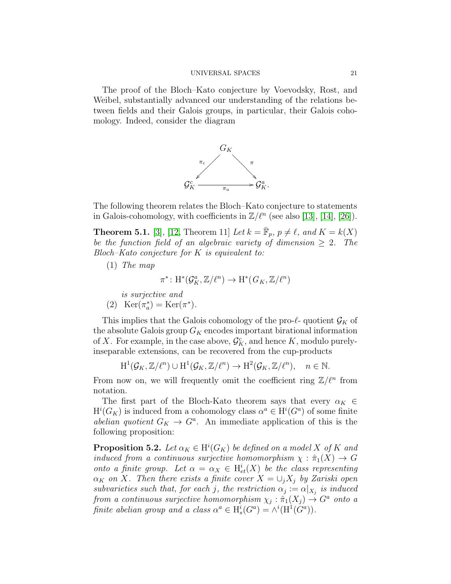The proof of the Bloch–Kato conjecture by Voevodsky, Rost, and Weibel, substantially advanced our understanding of the relations between fields and their Galois groups, in particular, their Galois cohomology. Indeed, consider the diagram



The following theorem relates the Bloch–Kato conjecture to statements in Galois-cohomology, with coefficients in  $\mathbb{Z}/\ell^n$  (see also [\[13\]](#page-32-8), [\[14\]](#page-32-9), [\[26\]](#page-32-10)).

<span id="page-20-0"></span>**Theorem 5.1.** [\[3\]](#page-31-10), [\[12,](#page-31-6) Theorem 11] Let  $k = \overline{\mathbb{F}}_p$ ,  $p \neq \ell$ , and  $K = k(X)$ be the function field of an algebraic variety of dimension  $\geq 2$ . The Bloch–Kato conjecture for K is equivalent to:

(1) The map

$$
\pi^*\colon \mathrm{H}^*(\mathcal{G}_K^a,\mathbb{Z}/\ell^n)\to \mathrm{H}^*(\mathit{G}_K,\mathbb{Z}/\ell^n)
$$

is surjective and (2) Ker $(\pi_a^*)$  $a^*$ ) = Ker( $\pi^*$ ).

This implies that the Galois cohomology of the pro- $\ell$ - quotient  $\mathcal{G}_K$  of the absolute Galois group  $G_K$  encodes important birational information of X. For example, in the case above,  $\mathcal{G}_{K}^{c}$ , and hence K, modulo purelyinseparable extensions, can be recovered from the cup-products

$$
H^1(\mathcal{G}_K, \mathbb{Z}/\ell^n) \cup H^1(\mathcal{G}_K, \mathbb{Z}/\ell^n) \to H^2(\mathcal{G}_K, \mathbb{Z}/\ell^n), \quad n \in \mathbb{N}.
$$

From now on, we will frequently omit the coefficient ring  $\mathbb{Z}/\ell^n$  from notation.

The first part of the Bloch-Kato theorem says that every  $\alpha_K \in$  $H^i(G_K)$  is induced from a cohomology class  $\alpha^a \in H^i(G^a)$  of some finite abelian quotient  $G_K \to G^a$ . An immediate application of this is the following proposition:

<span id="page-20-1"></span>**Proposition 5.2.** Let  $\alpha_K \in H^i(G_K)$  be defined on a model X of K and induced from a continuous surjective homomorphism  $\chi : \hat{\pi}_1(X) \to G$ onto a finite group. Let  $\alpha = \alpha_X \in H^i_{et}(X)$  be the class representing  $\alpha_K$  on X. Then there exists a finite cover  $X = \bigcup_j X_j$  by Zariski open subvarieties such that, for each j, the restriction  $\alpha_j := \alpha|_{X_j}$  is induced from a continuous surjective homomorphism  $\chi_j : \hat{\pi}_1(X_j) \to G^a$  onto a finite abelian group and a class  $\alpha^a \in H^i_s(G^a) = \wedge^i(H^1(G^a))$ .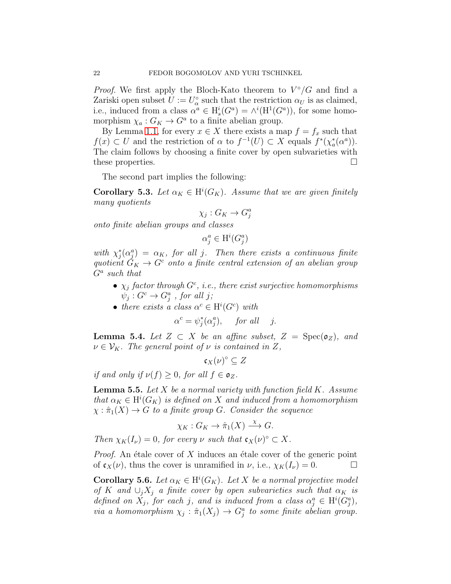*Proof.* We first apply the Bloch-Kato theorem to  $V^{\circ}/G$  and find a Zariski open subset  $U := U^{\circ}_{\alpha}$  $\alpha_{\alpha}^{\circ}$  such that the restriction  $\alpha_U$  is as claimed, i.e., induced from a class  $\alpha^a \in H^i_s(G^a) = \wedge^i(H^1(G^a))$ , for some homomorphism  $\chi_a: G_K \to G^a$  to a finite abelian group.

By Lemma [1.1,](#page-3-0) for every  $x \in X$  there exists a map  $f = f_x$  such that  $f(x) \subset U$  and the restriction of  $\alpha$  to  $f^{-1}(U) \subset X$  equals  $f^*(\chi^*_\alpha)$  $_{a}^{*}(\alpha^{a})).$ The claim follows by choosing a finite cover by open subvarieties with these properties.

The second part implies the following:

<span id="page-21-1"></span>**Corollary 5.3.** Let  $\alpha_K \in H^i(G_K)$ . Assume that we are given finitely many quotients

$$
\chi_j: G_K \to G_j^a
$$

onto finite abelian groups and classes

$$
\alpha_j^a \in \mathrm{H}^i(G_j^a)
$$

with  $\chi_i^*$  $\zeta_j^*(\alpha_j^a) = \alpha_K$ , for all j. Then there exists a continuous finite quotient  $G_K \to G^c$  onto a finite central extension of an abelian group  $G^a$  such that

- $\chi_j$  factor through  $G^c$ , i.e., there exist surjective homomorphisms  $\psi_j: G^c \to G^a_j$  , for all j;
- there exists a class  $\alpha^c \in H^i(G^c)$  with

$$
\alpha^c = \psi_j^*(\alpha_j^a), \quad \text{for all} \quad j.
$$

**Lemma 5.4.** Let  $Z \subset X$  be an affine subset,  $Z = \text{Spec}(\mathfrak{o}_Z)$ , and  $\nu \in \mathcal{V}_K$ . The general point of  $\nu$  is contained in Z,

$$
\mathfrak{c}_X(\nu)^\circ \subseteq Z
$$

if and only if  $\nu(f) > 0$ , for all  $f \in \mathfrak{o}_Z$ .

<span id="page-21-0"></span>**Lemma 5.5.** Let  $X$  be a normal variety with function field  $K$ . Assume that  $\alpha_K \in H^i(G_K)$  is defined on X and induced from a homomorphism  $\chi : \hat{\pi}_1(X) \to G$  to a finite group G. Consider the sequence

$$
\chi_K: G_K \to \hat{\pi}_1(X) \xrightarrow{\chi} G.
$$

Then  $\chi_K(I_\nu) = 0$ , for every  $\nu$  such that  $\mathfrak{c}_X(\nu)^\circ \subset X$ .

*Proof.* An étale cover of X induces an étale cover of the generic point of  $\mathfrak{c}_X(\nu)$ , thus the cover is unramified in  $\nu$ , i.e.,  $\chi_K(I_\nu) = 0$ .

**Corollary 5.6.** Let  $\alpha_K \in H^i(G_K)$ . Let X be a normal projective model of K and  $\cup_i X_i$  a finite cover by open subvarieties such that  $\alpha_K$  is defined on  $X_j$ , for each j, and is induced from a class  $\alpha_j^a \in \mathrm{H}^i(G_j^a)$ , via a homomorphism  $\chi_j : \hat{\pi}_1(X_j) \to G_j^a$  to some finite abelian group.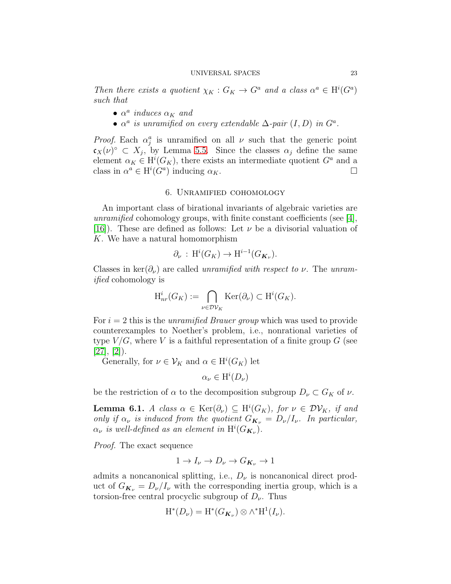Then there exists a quotient  $\chi_K : G_K \to G^a$  and a class  $\alpha^a \in H^i(G^a)$ such that

- $\alpha^a$  induces  $\alpha_K$  and
- $\alpha^a$  is unramified on every extendable  $\Delta$ -pair  $(I, D)$  in  $G^a$ .

*Proof.* Each  $\alpha_j^a$  is unramified on all  $\nu$  such that the generic point  $\mathfrak{c}_X(\nu)^\circ \subset X_j$ , by Lemma [5.5.](#page-21-0) Since the classes  $\alpha_j$  define the same element  $\alpha_K \in H^i(G_K)$ , there exists an intermediate quotient  $G^a$  and a class in  $\alpha^a \in H^i(G^a)$  inducing  $\alpha_K$ .

#### 6. Unramified cohomology

<span id="page-22-0"></span>An important class of birational invariants of algebraic varieties are unramified cohomology groups, with finite constant coefficients (see [\[4\]](#page-31-0), [\[16\]](#page-32-0)). These are defined as follows: Let  $\nu$  be a divisorial valuation of K. We have a natural homomorphism

$$
\partial_{\nu} : \mathrm{H}^i(G_K) \to \mathrm{H}^{i-1}(G_{\mathbf{K}_{\nu}}).
$$

Classes in ker $(\partial_{\nu})$  are called *unramified with respect to v*. The *unram*ified cohomology is

$$
\mathrm{H}^i_{nr}(G_K) := \bigcap_{\nu \in \mathcal{D} \mathcal{V}_K} \mathrm{Ker}(\partial_{\nu}) \subset \mathrm{H}^i(G_K).
$$

For  $i = 2$  this is the *unramified Brauer group* which was used to provide counterexamples to Noether's problem, i.e., nonrational varieties of type  $V/G$ , where V is a faithful representation of a finite group G (see  $[27], [2]$  $[27], [2]$  $[27], [2]$ .

Generally, for  $\nu \in V_K$  and  $\alpha \in H^i(G_K)$  let

 $\alpha_{\nu} \in \mathrm{H}^i(D_{\nu})$ 

be the restriction of  $\alpha$  to the decomposition subgroup  $D_{\nu} \subset G_K$  of  $\nu$ .

**Lemma 6.1.** A class  $\alpha \in \text{Ker}(\partial_{\nu}) \subseteq H^{i}(G_K)$ , for  $\nu \in \mathcal{DV}_K$ , if and only if  $\alpha_{\nu}$  is induced from the quotient  $G_{\mathbf{K}_{\nu}} = D_{\nu}/I_{\nu}$ . In particular,  $\alpha_{\nu}$  is well-defined as an element in  $\mathrm{H}^i(G_{\boldsymbol{K}_{\nu}})$ .

Proof. The exact sequence

$$
1 \to I_{\nu} \to D_{\nu} \to G_{K_{\nu}} \to 1
$$

admits a noncanonical splitting, i.e.,  $D_{\nu}$  is noncanonical direct product of  $G_{\mathbf{K}_{\nu}} = D_{\nu}/I_{\nu}$  with the corresponding inertia group, which is a torsion-free central procyclic subgroup of  $D_{\nu}$ . Thus

$$
H^*(D_{\nu})=H^*(G_{\boldsymbol{K}_{\nu}})\otimes \wedge^*H^1(I_{\nu}).
$$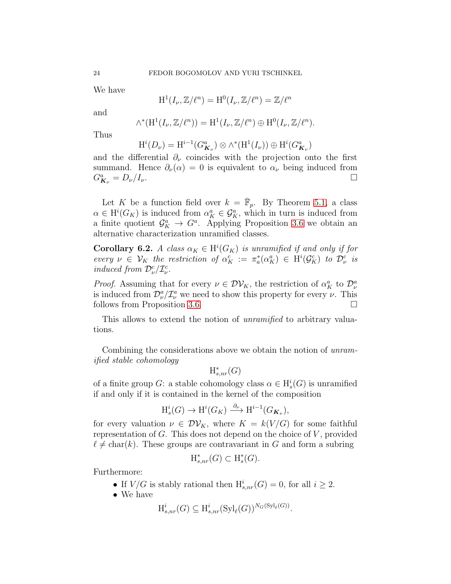We have

$$
H^1(I_\nu, \mathbb{Z}/\ell^n) = H^0(I_\nu, \mathbb{Z}/\ell^n) = \mathbb{Z}/\ell^n
$$

and

$$
\wedge^*(\mathrm{H}^1(I_\nu, \mathbb{Z}/\ell^n)) = \mathrm{H}^1(I_\nu, \mathbb{Z}/\ell^n) \oplus \mathrm{H}^0(I_\nu, \mathbb{Z}/\ell^n).
$$

Thus

 $H^{i}(D_{\nu}) = H^{i-1}(G^{a}_{\mathbf{K}_{\nu}}) \otimes \wedge^{*}(H^{1}(I_{\nu})) \oplus H^{i}(G^{a}_{\mathbf{K}_{\nu}})$ 

and the differential  $\partial_{\nu}$  coincides with the projection onto the first summand. Hence  $\partial_{\nu}(\alpha) = 0$  is equivalent to  $\alpha_{\nu}$  being induced from  $G^a_{\mathbf{k}_\nu} = D_\nu / I_\nu.$ 

Let K be a function field over  $k = \overline{\mathbb{F}}_p$ . By Theorem [5.1,](#page-20-0) a class  $\alpha \in H^i(G_K)$  is induced from  $\alpha_K^a \in \mathcal{G}_K^a$ , which in turn is induced from a finite quotient  $\mathcal{G}_{K}^{a} \to G^{a}$ . Applying Proposition [3.6](#page-14-0) we obtain an alternative characterization unramified classes.

**Corollary 6.2.** A class  $\alpha_K \in H^i(G_K)$  is unramified if and only if for every  $\nu \in \mathcal{V}_K$  the restriction of  $\alpha_K^c := \pi_a^*$  $\chi_a^*(\alpha_K^a) \in \mathrm{H}^i(\mathcal{G}_K^c)$  to  $\mathcal{D}^c_\nu$  is induced from  $\mathcal{D}_{\nu}^{c}/\mathcal{I}_{\nu}^{c}$ .

*Proof.* Assuming that for every  $\nu \in \mathcal{DV}_K$ , the restriction of  $\alpha_K^a$  to  $\mathcal{D}^a_\nu$ is induced from  $\mathcal{D}_{\nu}^{a}/\mathcal{I}_{\nu}^{a}$  we need to show this property for every  $\nu$ . This follows from Proposition [3.6.](#page-14-0)

This allows to extend the notion of *unramified* to arbitrary valuations.

Combining the considerations above we obtain the notion of unramified stable cohomology

$$
{\rm H}_{s, nr}^*(G)
$$

of a finite group  $G$ : a stable cohomology class  $\alpha \in H^i_s(G)$  is unramified if and only if it is contained in the kernel of the composition

$$
\mathrm{H}^i_s(G) \to \mathrm{H}^i(G_K) \xrightarrow{\partial_{\nu}} \mathrm{H}^{i-1}(G_{\mathbf{K}_{\nu}}),
$$

for every valuation  $\nu \in \mathcal{DV}_K$ , where  $K = k(V/G)$  for some faithful representation of  $G$ . This does not depend on the choice of  $V$ , provided  $\ell \neq \text{char}(k)$ . These groups are contravariant in G and form a subring

$$
\mathrm{H}_{s,nr}^*(G) \subset \mathrm{H}_s^*(G).
$$

Furthermore:

- If  $V/G$  is stably rational then  $H^i_{s,nr}(G) = 0$ , for all  $i \geq 2$ .
- We have

$$
\mathrm{H}_{s,nr}^i(G) \subseteq \mathrm{H}_{s,nr}^i(\mathrm{Syl}_{\ell}(G))^{N_G(\mathrm{Syl}_{\ell}(G))}
$$

.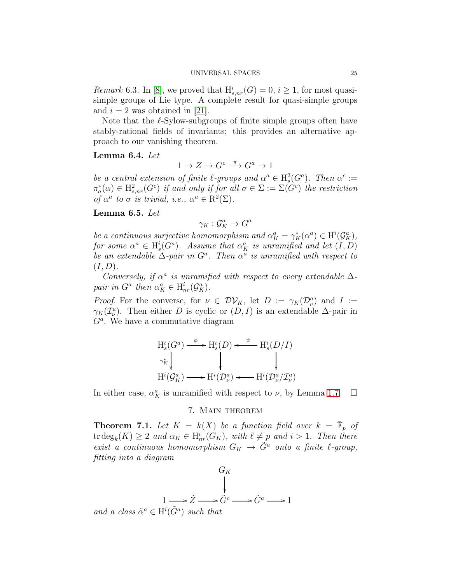*Remark* 6.3. In [\[8\]](#page-31-4), we proved that  $H^i_{s,nr}(G) = 0, i \geq 1$ , for most quasisimple groups of Lie type. A complete result for quasi-simple groups and  $i = 2$  was obtained in [\[21\]](#page-32-12).

Note that the  $\ell$ -Sylow-subgroups of finite simple groups often have stably-rational fields of invariants; this provides an alternative approach to our vanishing theorem.

### Lemma 6.4. Let

 $1 \to Z \to G^c \xrightarrow{\pi} G^a \to 1$ 

be a central extension of finite  $\ell$ -groups and  $\alpha^a \in H_s^2(G^a)$ . Then  $\alpha^c :=$  $\pi_a^*$  $\chi_a^*(\alpha) \in \mathrm{H}^2_{s,nr}(G^c)$  if and only if for all  $\sigma \in \Sigma := \Sigma(G^c)$  the restriction of  $\alpha^a$  to  $\sigma$  is trivial, i.e.,  $\alpha^a \in \mathbb{R}^2(\Sigma)$ .

## <span id="page-24-2"></span>Lemma 6.5. Let

 $\gamma_K : \mathcal{G}_K^a \to G^a$ 

be a continuous surjective homomorphism and  $\alpha_K^a = \gamma_K^*(\alpha^a) \in \mathrm{H}^i(\mathcal{G}_K^a)$ , for some  $\alpha^a \in H^i_s(G^a)$ . Assume that  $\alpha_K^a$  is unramified and let  $(I, D)$ be an extendable  $\Delta$ -pair in  $G^a$ . Then  $\alpha^a$  is unramified with respect to  $(I, D).$ 

Conversely, if  $\alpha^a$  is unramified with respect to every extendable  $\Delta$ pair in  $G^a$  then  $\alpha_K^a \in H^i_{nr}(\mathcal{G}_K^a)$ .

*Proof.* For the converse, for  $\nu \in DV_K$ , let  $D := \gamma_K(D_\nu^a)$  and  $I :=$  $\gamma_K(\mathcal{I}_{\nu}^a)$ . Then either D is cyclic or  $(D, I)$  is an extendable  $\Delta$ -pair in  $G<sup>a</sup>$ . We have a commutative diagram

$$
H_s^i(G^a) \xrightarrow{\phi} H_s^i(D) \xleftarrow{\psi} H_s^i(D/I)
$$
  
\n
$$
\gamma_K^* \downarrow \qquad \qquad \downarrow \qquad \qquad \downarrow
$$
  
\n
$$
H^i(\mathcal{G}_K^a) \longrightarrow H^i(\mathcal{D}_\nu^a) \xleftarrow{H^i(\mathcal{D}_\nu^a/\mathcal{I}_\nu^a)}
$$

<span id="page-24-0"></span>In either case,  $\alpha_K^a$  is unramified with respect to  $\nu$ , by Lemma [1.7.](#page-7-0)  $\Box$ 

## 7. Main theorem

<span id="page-24-1"></span>**Theorem 7.1.** Let  $K = k(X)$  be a function field over  $k = \overline{\mathbb{F}}_p$  of tr  $\deg_k(K) \geq 2$  and  $\alpha_K \in H^i_{nr}(G_K)$ , with  $\ell \neq p$  and  $i > 1$ . Then there exist a continuous homomorphism  $G_K \to \tilde{G}^a$  onto a finite  $\ell$ -group, fitting into a diagram

$$
G_K
$$
\n
$$
1 \longrightarrow \tilde{Z} \longrightarrow \tilde{G}^c \longrightarrow \tilde{G}^a \longrightarrow 1
$$
\n
$$
class \tilde{\sigma}^a \subset \text{H}^i(\tilde{C}^a) \text{ such that}
$$

and a class  $\tilde{\alpha}^a \in H^i(\tilde{G}^a)$  such that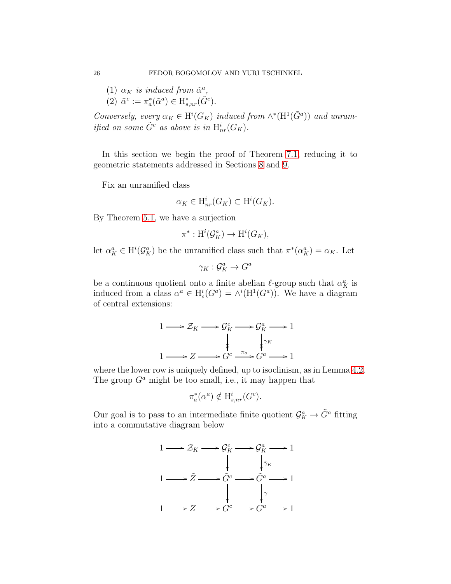(1)  $\alpha_K$  is induced from  $\tilde{\alpha}^a$ , (2)  $\tilde{\alpha}^c := \pi_a^*$  $_{a}^{*}(\tilde{\alpha}^{a}) \in \mathrm{H}_{s,nr}^{*}(\tilde{G}^{c}).$ 

Conversely, every  $\alpha_K \in H^i(G_K)$  induced from  $\wedge^*(H^1(\tilde{G}^a))$  and unramified on some  $\tilde{G}^c$  as above is in  $\mathrm{H}^i_{nr}(G_K)$ .

In this section we begin the proof of Theorem [7.1,](#page-24-1) reducing it to geometric statements addressed in Sections [8](#page-27-0) and [9.](#page-28-0)

Fix an unramified class

$$
\alpha_K \in \mathrm{H}^i_{nr}(G_K) \subset \mathrm{H}^i(G_K).
$$

By Theorem [5.1,](#page-20-0) we have a surjection

$$
\pi^*: {\mathrm{H}}^i({\mathcal G}_K^a)\rightarrow {\mathrm{H}}^i(G_K),
$$

let  $\alpha_K^a \in H^i(\mathcal{G}_K^a)$  be the unramified class such that  $\pi^*(\alpha_K^a) = \alpha_K$ . Let

$$
\gamma_K:\mathcal{G}_K^a\to G^a
$$

be a continuous quotient onto a finite abelian  $\ell$ -group such that  $\alpha_K^a$  is induced from a class  $\alpha^a \in H^i_s(G^a) = \wedge^i(H^1(G^a))$ . We have a diagram of central extensions:



where the lower row is uniquely defined, up to isoclinism, as in Lemma [4.2.](#page-15-1) The group  $G^a$  might be too small, i.e., it may happen that

$$
\pi_a^*(\alpha^a) \notin \mathrm{H}_{s,nr}^i(G^c).
$$

Our goal is to pass to an intermediate finite quotient  $\mathcal{G}_{K}^{a} \to \tilde{G}^{a}$  fitting into a commutative diagram below

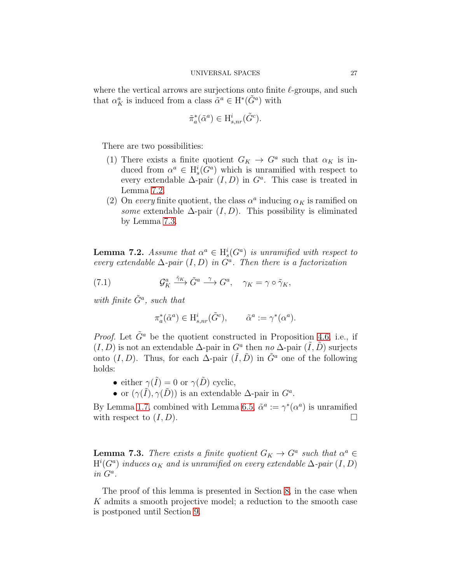where the vertical arrows are surjections onto finite  $\ell$ -groups, and such that  $\alpha_K^a$  is induced from a class  $\tilde{\alpha}^a \in H^*(\tilde{G}^a)$  with

$$
\tilde{\pi}_a^*(\tilde{\alpha}^a) \in \mathrm{H}_{s, nr}^i(\tilde{G}^c).
$$

There are two possibilities:

- (1) There exists a finite quotient  $G_K \to G^a$  such that  $\alpha_K$  is induced from  $\alpha^a \in H^i_s(G^a)$  which is unramified with respect to every extendable  $\Delta$ -pair  $(I, D)$  in  $G^a$ . This case is treated in Lemma [7.2.](#page-26-0)
- (2) On every finite quotient, the class  $\alpha^a$  inducing  $\alpha_K$  is ramified on some extendable  $\Delta$ -pair  $(I, D)$ . This possibility is eliminated by Lemma [7.3.](#page-26-1)

<span id="page-26-0"></span>**Lemma 7.2.** Assume that  $\alpha^a \in H^i_s(G^a)$  is unramified with respect to every extendable  $\Delta$ -pair  $(I, D)$  in  $G^a$ . Then there is a factorization

(7.1) 
$$
\mathcal{G}_K^a \xrightarrow{\tilde{\gamma}_K} \tilde{G}^a \xrightarrow{\gamma} G^a, \quad \gamma_K = \gamma \circ \tilde{\gamma}_K,
$$

with finite  $\tilde{G}^a$ , such that

$$
\pi_a^*(\tilde{\alpha}^a) \in \mathcal{H}_{s, nr}^i(\tilde{G}^c), \qquad \tilde{\alpha}^a := \gamma^*(\alpha^a).
$$

*Proof.* Let  $\tilde{G}^a$  be the quotient constructed in Proposition [4.6,](#page-18-0) i.e., if  $(I, D)$  is not an extendable  $\Delta$ -pair in  $G^a$  then no  $\Delta$ -pair  $(\tilde{I}, \tilde{D})$  surjects onto  $(I, D)$ . Thus, for each  $\Delta$ -pair  $(\tilde{I}, \tilde{D})$  in  $\tilde{G}^a$  one of the following holds:

- either  $\gamma(\tilde{I}) = 0$  or  $\gamma(\tilde{D})$  cyclic,
- or  $(\gamma(\tilde{I}), \gamma(\tilde{D}))$  is an extendable  $\Delta$ -pair in  $G^a$ .

By Lemma [1.7,](#page-7-0) combined with Lemma [6.5,](#page-24-2)  $\tilde{\alpha}^a := \gamma^*(\alpha^a)$  is unramified with respect to  $(I, D)$ .

<span id="page-26-1"></span>**Lemma 7.3.** There exists a finite quotient  $G_K \to G^a$  such that  $\alpha^a \in$  $\mathrm{H}^i(G^a)$  induces  $\alpha_K$  and is unramified on every extendable  $\Delta$ -pair  $(I,D)$  $in\ G^a.$ 

The proof of this lemma is presented in Section [8,](#page-27-0) in the case when K admits a smooth projective model; a reduction to the smooth case is postponed until Section [9.](#page-28-0)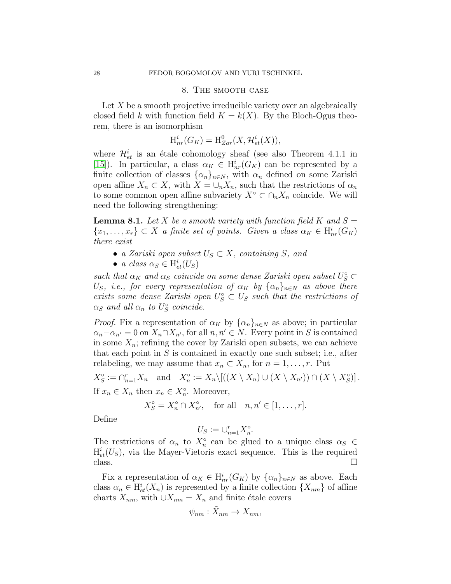## 8. The smooth case

<span id="page-27-0"></span>Let  $X$  be a smooth projective irreducible variety over an algebraically closed field k with function field  $K = k(X)$ . By the Bloch-Ogus theorem, there is an isomorphism

$$
\mathrm{H}^{i}_{nr}(G_K) = \mathrm{H}^{0}_{Zar}(X, \mathcal{H}^{i}_{et}(X)),
$$

where  $\mathcal{H}_{et}^{i}$  is an étale cohomology sheaf (see also Theorem 4.1.1 in [\[15\]](#page-32-13)). In particular, a class  $\alpha_K \in H^i_{nr}(G_K)$  can be represented by a finite collection of classes  $\{\alpha_n\}_{n\in\mathbb{N}}$ , with  $\alpha_n$  defined on some Zariski open affine  $X_n \subset X$ , with  $X = \bigcup_n X_n$ , such that the restrictions of  $\alpha_n$ to some common open affine subvariety  $X^{\circ} \subset \cap_n X_n$  coincide. We will need the following strengthening:

<span id="page-27-1"></span>**Lemma 8.1.** Let X be a smooth variety with function field K and  $S =$  ${x_1, \ldots, x_r} \subset X$  a finite set of points. Given a class  $\alpha_K \in H^i_{nr}(G_K)$ there exist

- a Zariski open subset  $U_S \subset X$ , containing S, and
- a class  $\alpha_S \in H^i_{et}(U_S)$

such that  $\alpha_K$  and  $\alpha_S$  coincide on some dense Zariski open subset  $U_S^{\circ} \subset$ U<sub>S</sub>, i.e., for every representation of  $\alpha_K$  by  $\{\alpha_n\}_{n\in\mathbb{N}}$  as above there exists some dense Zariski open  $U_S^{\circ} \subset U_S$  such that the restrictions of  $\alpha_S$  and all  $\alpha_n$  to  $U_S^{\circ}$  $\hat{s}$  coincide.

*Proof.* Fix a representation of  $\alpha_K$  by  $\{\alpha_n\}_{n\in\mathbb{N}}$  as above; in particular  $\alpha_n-\alpha_{n'}=0$  on  $X_n\cap X_{n'}$ , for all  $n, n'\in N$ . Every point in S is contained in some  $X_n$ ; refining the cover by Zariski open subsets, we can achieve that each point in  $S$  is contained in exactly one such subset; i.e., after relabeling, we may assume that  $x_n \subset X_n$ , for  $n = 1, \ldots, r$ . Put

 $X_{S}^{\circ}$  $S = \bigcap_{n=1}^{r} X_n$  and  $X_n^{\circ}$  $\Omega_n^{\circ} := X_n \setminus [((X \setminus X_n) \cup (X \setminus X_{n'})) \cap (X \setminus X_S^{\circ})]$  $S^{\circ}$ ]. If  $x_n \in X_n$  then  $x_n \in X_n^{\circ}$ . Moreover,

$$
X_S^{\circ} = X_n^{\circ} \cap X_{n'}^{\circ}, \quad \text{for all} \quad n, n' \in [1, \dots, r].
$$

Define

$$
U_S := \cup_{n=1}^r X_n^{\circ}.
$$

The restrictions of  $\alpha_n$  to  $X_n^{\circ}$  can be glued to a unique class  $\alpha_S \in$  $H_{et}^{i}(U_{S})$ , via the Mayer-Vietoris exact sequence. This is the required  $\Box$ 

Fix a representation of  $\alpha_K \in H^i_{nr}(G_K)$  by  $\{\alpha_n\}_{n\in\mathbb{N}}$  as above. Each class  $\alpha_n \in H^i_{et}(X_n)$  is represented by a finite collection  $\{X_{nm}\}\$  of affine charts  $X_{nm}$ , with  $\bigcup X_{nm} = X_n$  and finite étale covers

$$
\psi_{nm}: \tilde{X}_{nm} \to X_{nm},
$$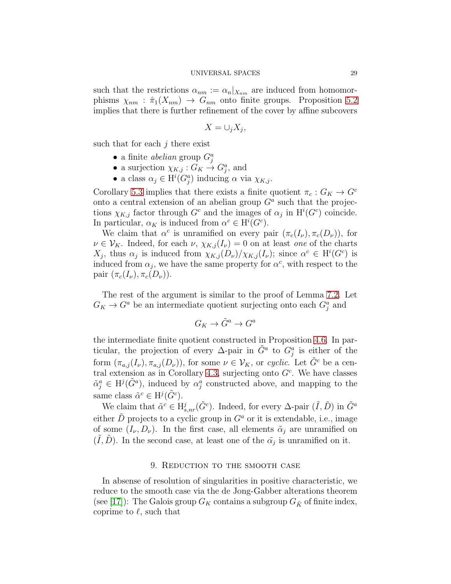such that the restrictions  $\alpha_{nm} := \alpha_n |_{X_{nm}}$  are induced from homomorphisms  $\chi_{nm}$ :  $\hat{\pi}_1(X_{nm}) \to G_{nm}$  onto finite groups. Proposition [5.2](#page-20-1) implies that there is further refinement of the cover by affine subcovers

$$
X=\cup_j X_j,
$$

such that for each  $j$  there exist

- a finite *abelian* group  $G_j^a$
- a surjection  $\chi_{K,j}: G_K \to G_j^a$ , and
- a class  $\alpha_j \in \mathrm{H}^i(G_j^a)$  inducing  $\alpha$  via  $\chi_{K,j}$ .

Corollary [5.3](#page-21-1) implies that there exists a finite quotient  $\pi_c : G_K \to G^c$ onto a central extension of an abelian group  $G<sup>a</sup>$  such that the projections  $\chi_{K,j}$  factor through  $G^c$  and the images of  $\alpha_j$  in  $\mathrm{H}^i(G^c)$  coincide. In particular,  $\alpha_K$  is induced from  $\alpha^c \in H^i(G^c)$ .

We claim that  $\alpha^c$  is unramified on every pair  $(\pi_c(I_\nu), \pi_c(D_\nu))$ , for  $\nu \in \mathcal{V}_K$ . Indeed, for each  $\nu$ ,  $\chi_{K,j}(I_\nu) = 0$  on at least one of the charts  $X_j$ , thus  $\alpha_j$  is induced from  $\chi_{K,j}(D_\nu)/\chi_{K,j}(I_\nu)$ ; since  $\alpha^c \in \mathrm{H}^i(G^c)$  is induced from  $\alpha_j$ , we have the same property for  $\alpha^c$ , with respect to the pair  $(\pi_c(I_\nu), \pi_c(D_\nu))$ .

The rest of the argument is similar to the proof of Lemma [7.2.](#page-26-0) Let  $G_K \to G^a$  be an intermediate quotient surjecting onto each  $G^a_j$  and

$$
G_K \to \tilde{G}^a \to G^a
$$

the intermediate finite quotient constructed in Proposition [4.6.](#page-18-0) In particular, the projection of every  $\Delta$ -pair in  $\tilde{G}^a$  to  $G_j^a$  is either of the form  $(\pi_{a,j}(I_{\nu}), \pi_{a,j}(D_{\nu}))$ , for some  $\nu \in \mathcal{V}_K$ , or cyclic. Let  $\tilde{G}^c$  be a cen-tral extension as in Corollary [4.3,](#page-16-1) surjecting onto  $G<sup>c</sup>$ . We have classes  $\tilde{\alpha}_j^a \in H^j(\tilde{G}^a)$ , induced by  $\alpha_j^a$  constructed above, and mapping to the same class  $\tilde{\alpha}^c \in H^j(\tilde{G}^c)$ .

We claim that  $\tilde{\alpha}^c \in H^j_{s, nr}(\tilde{G}^c)$ . Indeed, for every  $\Delta$ -pair  $(\tilde{I}, \tilde{D})$  in  $\tilde{G}^a$ either  $\hat{D}$  projects to a cyclic group in  $G^a$  or it is extendable, i.e., image of some  $(I_{\nu}, D_{\nu})$ . In the first case, all elements  $\tilde{\alpha}_i$  are unramified on  $(\tilde{I}, \tilde{D})$ . In the second case, at least one of the  $\tilde{\alpha}_j$  is unramified on it.

## 9. Reduction to the smooth case

<span id="page-28-0"></span>In absense of resolution of singularities in positive characteristic, we reduce to the smooth case via the de Jong-Gabber alterations theorem (see [\[17\]](#page-32-14)): The Galois group  $G_K$  contains a subgroup  $G_{\tilde{K}}$  of finite index, coprime to  $\ell$ , such that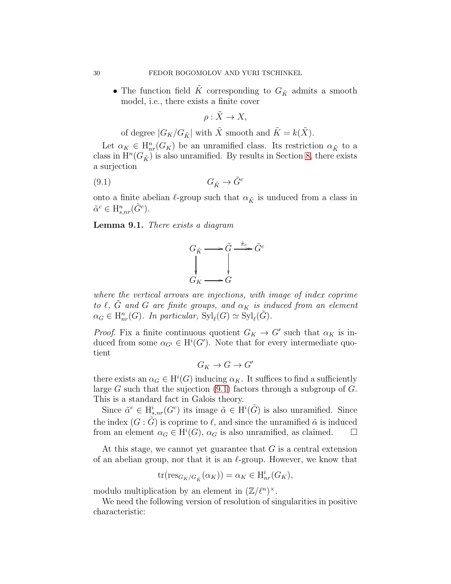$\bullet$  The function field  $\tilde{K}$  corresponding to  $G_{\tilde{K}}$  admits a smooth model, i.e., there exists a finite cover

<span id="page-29-0"></span>
$$
\rho: \tilde{X} \to X,
$$

of degree  $|G_K/G_{\tilde{K}}|$  with  $\tilde{X}$  smooth and  $\tilde{K} = k(\tilde{X})$ .

Let  $\alpha_K \in H^n_{nr}(G_K)$  be an unramified class. Its restriction  $\alpha_{\tilde{K}}$  to a class in  $\mathrm{H}^n(G_{\tilde K})$  is also unramified. By results in Section [8,](#page-27-0) there exists a surjection

$$
(9.1) \tG_{\tilde{K}} \to \tilde{G}^c
$$

onto a finite abelian  $\ell$ -group such that  $\alpha_{\tilde{K}}$  is unduced from a class in  $\tilde{\alpha}^c \in H^n_{s,nr}(\tilde{G}^c).$ 

Lemma 9.1. There exists a diagram



where the vertical arrows are injections, with image of index coprime to  $\ell$ ,  $\tilde{G}$  and  $G$  are finite groups, and  $\alpha_K$  is induced from an element  $\alpha_G \in H^n_{nr}(G)$ . In particular,  $\text{Syl}_{\ell}(G) \simeq \text{Syl}_{\ell}(\tilde{G})$ .

*Proof.* Fix a finite continuous quotient  $G_K \to G'$  such that  $\alpha_K$  is induced from some  $\alpha_{G'} \in H^i(G')$ . Note that for every intermediate quotient

$$
G_K \to G \to G'
$$

there exists an  $\alpha_G \in H^i(G)$  inducing  $\alpha_K$ . It suffices to find a sufficiently large G such that the sujection  $(9.1)$  factors through a subgroup of G. This is a standard fact in Galois theory.

Since  $\tilde{\alpha}^c \in H^i_{s,nr}(G^c)$  its image  $\tilde{\alpha} \in H^i(\tilde{G})$  is also unramified. Since the index  $(G \cdot \tilde{G})$  is coprime to  $\ell$ , and since the unramified  $\tilde{\alpha}$  is induced from an element  $\alpha_G \in H^i(G)$ ,  $\alpha_G$  is also unramified, as claimed.  $\square$ 

At this stage, we cannot yet guarantee that  $G$  is a central extension of an abelian group, nor that it is an  $\ell$ -group. However, we know that

$$
\operatorname{tr}(\operatorname{res}_{G_K/G_{\tilde{K}}}(\alpha_K)) = \alpha_K \in \operatorname{H}^i_{nr}(G_K),
$$

modulo multiplication by an element in  $(\mathbb{Z}/\ell^n)^{\times}$ .

We need the following version of resolution of singularities in positive characteristic: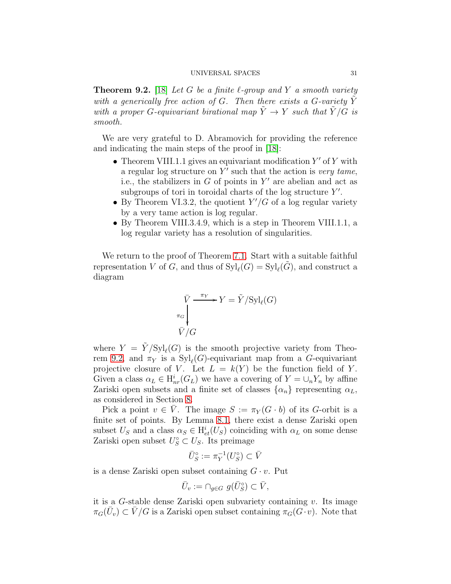<span id="page-30-0"></span>**Theorem 9.2.** [\[18\]](#page-32-15) Let G be a finite  $\ell$ -group and Y a smooth variety with a generically free action of G. Then there exists a G-variety  $\tilde{Y}$ with a proper G-equivariant birational map  $\tilde{Y} \to Y$  such that  $\tilde{Y}/G$  is smooth.

We are very grateful to D. Abramovich for providing the reference and indicating the main steps of the proof in [\[18\]](#page-32-15):

- Theorem VIII.1.1 gives an equivariant modification  $Y'$  of  $Y$  with a regular log structure on  $Y'$  such that the action is *very tame*, i.e., the stabilizers in  $G$  of points in  $Y'$  are abelian and act as subgroups of tori in toroidal charts of the log structure  $Y'$ .
- By Theorem VI.3.2, the quotient  $Y'/G$  of a log regular variety by a very tame action is log regular.
- By Theorem VIII.3.4.9, which is a step in Theorem VIII.1.1, a log regular variety has a resolution of singularities.

We return to the proof of Theorem [7.1.](#page-24-1) Start with a suitable faithful representation V of G, and thus of  $\mathrm{Syl}_{\ell}(G) = \mathrm{Syl}_{\ell}(\tilde{G})$ , and construct a diagram

$$
\bar{V} \xrightarrow{\pi_Y} Y = \tilde{Y}/\mathrm{Syl}_{\ell}(G)
$$

$$
\bar{V}/G
$$

where  $Y = \tilde{Y}/Syl_{\ell}(G)$  is the smooth projective variety from Theo-rem [9.2,](#page-30-0) and  $\pi_Y$  is a  $Syl_{\ell}(G)$ -equivariant map from a G-equivariant projective closure of V. Let  $L = k(Y)$  be the function field of Y. Given a class  $\alpha_L \in H^i_{nr}(G_L)$  we have a covering of  $Y = \bigcup_n Y_n$  by affine Zariski open subsets and a finite set of classes  $\{\alpha_n\}$  representing  $\alpha_L$ , as considered in Section [8.](#page-27-0)

Pick a point  $v \in \overline{V}$ . The image  $S := \pi_Y(G \cdot b)$  of its G-orbit is a finite set of points. By Lemma [8.1,](#page-27-1) there exist a dense Zariski open subset  $U_S$  and a class  $\alpha_S \in H^i_{et}(U_S)$  coinciding with  $\alpha_L$  on some dense Zariski open subset  $U_S^{\circ} \subset U_S$ . Its preimage

$$
\bar{U}_S^\circ := \pi_Y^{-1}(U_S^\circ) \subset \bar{V}
$$

is a dense Zariski open subset containing  $G \cdot v$ . Put

$$
\bar U_v:=\cap_{g\in G}\ g(\bar U_S^\circ)\subset \bar V,
$$

it is a G-stable dense Zariski open subvariety containing  $v$ . Its image  $\pi_G(\bar{U}_v) \subset \bar{V}/G$  is a Zariski open subset containing  $\pi_G(\bar{G} \cdot v)$ . Note that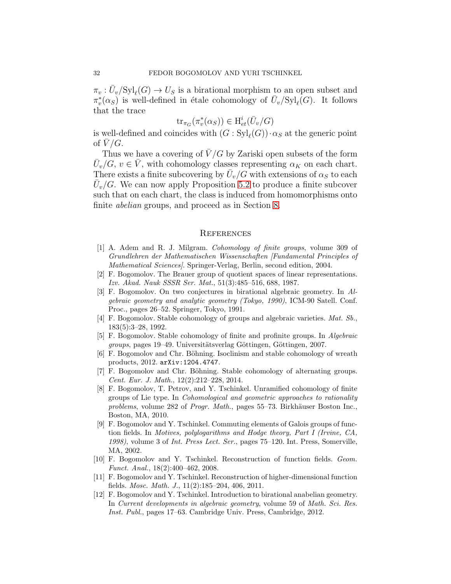$\pi_v : \overline{U}_v / \mathrm{Syl}_{\ell}(G) \to U_S$  is a birational morphism to an open subset and  $\pi_v^*$  $\bar{v}_v(\alpha_S)$  is well-defined in étale cohomology of  $\bar{U}_v/\mathrm{Syl}_{\ell}(G)$ . It follows that the trace

$$
\operatorname{tr}_{\pi_G}(\pi_v^*(\alpha_S)) \in \mathrm{H}_{et}^i(\bar{U}_v/G)
$$

is well-defined and coincides with  $(G : Syl_{\ell}(G)) \cdot \alpha_S$  at the generic point of  $V/G$ .

Thus we have a covering of  $\bar{V}/G$  by Zariski open subsets of the form  $\bar{U}_{\nu}/G$ ,  $v \in \bar{V}$ , with cohomology classes representing  $\alpha_K$  on each chart. There exists a finite subcovering by  $\bar{U}_v/G$  with extensions of  $\alpha_S$  to each  $\overline{U}_v/G$ . We can now apply Proposition [5.2](#page-20-1) to produce a finite subcover such that on each chart, the class is induced from homomorphisms onto finite abelian groups, and proceed as in Section [8.](#page-27-0)

#### References

- <span id="page-31-3"></span>[1] A. Adem and R. J. Milgram. *Cohomology of finite groups*, volume 309 of *Grundlehren der Mathematischen Wissenschaften [Fundamental Principles of Mathematical Sciences]*. Springer-Verlag, Berlin, second edition, 2004.
- <span id="page-31-11"></span>[2] F. Bogomolov. The Brauer group of quotient spaces of linear representations. *Izv. Akad. Nauk SSSR Ser. Mat.*, 51(3):485–516, 688, 1987.
- <span id="page-31-10"></span>[3] F. Bogomolov. On two conjectures in birational algebraic geometry. In *Algebraic geometry and analytic geometry (Tokyo, 1990)*, ICM-90 Satell. Conf. Proc., pages 26–52. Springer, Tokyo, 1991.
- <span id="page-31-0"></span>[4] F. Bogomolov. Stable cohomology of groups and algebraic varieties. *Mat. Sb.*, 183(5):3–28, 1992.
- <span id="page-31-2"></span>[5] F. Bogomolov. Stable cohomology of finite and profinite groups. In *Algebraic groups*, pages 19–49. Universitätsverlag Göttingen, Göttingen, 2007.
- <span id="page-31-7"></span><span id="page-31-5"></span>[6] F. Bogomolov and Chr. Böhning. Isoclinism and stable cohomology of wreath products, 2012. arXiv:1204.4747.
- [7] F. Bogomolov and Chr. Böhning. Stable cohomology of alternating groups. *Cent. Eur. J. Math.*, 12(2):212–228, 2014.
- <span id="page-31-4"></span>[8] F. Bogomolov, T. Petrov, and Y. Tschinkel. Unramified cohomology of finite groups of Lie type. In *Cohomological and geometric approaches to rationality problems*, volume 282 of *Progr. Math.*, pages 55–73. Birkhäuser Boston Inc., Boston, MA, 2010.
- <span id="page-31-8"></span>[9] F. Bogomolov and Y. Tschinkel. Commuting elements of Galois groups of function fields. In *Motives, polylogarithms and Hodge theory, Part I (Irvine, CA, 1998)*, volume 3 of *Int. Press Lect. Ser.*, pages 75–120. Int. Press, Somerville, MA, 2002.
- <span id="page-31-1"></span>[10] F. Bogomolov and Y. Tschinkel. Reconstruction of function fields. *Geom. Funct. Anal.*, 18(2):400–462, 2008.
- <span id="page-31-9"></span>[11] F. Bogomolov and Y. Tschinkel. Reconstruction of higher-dimensional function fields. *Mosc. Math. J.*, 11(2):185–204, 406, 2011.
- <span id="page-31-6"></span>[12] F. Bogomolov and Y. Tschinkel. Introduction to birational anabelian geometry. In *Current developments in algebraic geometry*, volume 59 of *Math. Sci. Res. Inst. Publ.*, pages 17–63. Cambridge Univ. Press, Cambridge, 2012.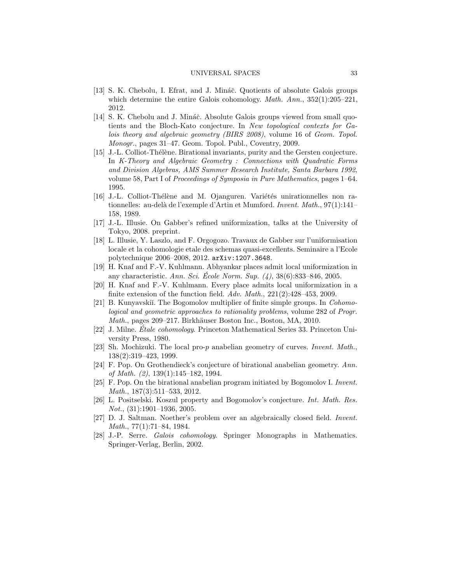- <span id="page-32-8"></span>[13] S. K. Chebolu, I. Efrat, and J. Mináč. Quotients of absolute Galois groups which determine the entire Galois cohomology. *Math. Ann.*, 352(1):205–221, 2012.
- <span id="page-32-9"></span>[14] S. K. Chebolu and J. Mináč. Absolute Galois groups viewed from small quotients and the Bloch-Kato conjecture. In *New topological contexts for Galois theory and algebraic geometry (BIRS 2008)*, volume 16 of *Geom. Topol. Monogr.*, pages 31–47. Geom. Topol. Publ., Coventry, 2009.
- <span id="page-32-13"></span>[15] J.-L. Colliot-Thélène. Birational invariants, purity and the Gersten conjecture. In *K-Theory and Algebraic Geometry : Connections with Quadratic Forms and Division Algebras, AMS Summer Research Institute, Santa Barbara 1992*, volume 58, Part I of *Proceedings of Symposia in Pure Mathematics*, pages 1–64. 1995.
- <span id="page-32-0"></span>[16] J.-L. Colliot-Thélène and M. Ojanguren. Variétés unirationnelles non rationnelles: au-del`a de l'exemple d'Artin et Mumford. *Invent. Math.*, 97(1):141– 158, 1989.
- <span id="page-32-15"></span><span id="page-32-14"></span>[17] J.-L. Illusie. On Gabber's refined uniformization, talks at the University of Tokyo, 2008. preprint.
- [18] L. Illusie, Y. Laszlo, and F. Orgogozo. Travaux de Gabber sur l'uniformisation locale et la cohomologie etale des schemas quasi-excellents. Seminaire a l'Ecole polytechnique 2006–2008, 2012. arXiv:1207.3648.
- <span id="page-32-3"></span>[19] H. Knaf and F.-V. Kuhlmann. Abhyankar places admit local uniformization in any characteristic. *Ann. Sci. École Norm. Sup.* (4), 38(6):833–846, 2005.
- <span id="page-32-4"></span>[20] H. Knaf and F.-V. Kuhlmann. Every place admits local uniformization in a finite extension of the function field. *Adv. Math.*, 221(2):428–453, 2009.
- <span id="page-32-12"></span>[21] B. Kunyavski˘ı. The Bogomolov multiplier of finite simple groups. In *Cohomological and geometric approaches to rationality problems*, volume 282 of *Progr. Math.*, pages 209–217. Birkhäuser Boston Inc., Boston, MA, 2010.
- <span id="page-32-2"></span>[22] J. Milne. *Etale cohomology ´* . Princeton Mathematical Series 33. Princeton University Press, 1980.
- <span id="page-32-6"></span>[23] Sh. Mochizuki. The local pro-p anabelian geometry of curves. *Invent. Math.*, 138(2):319–423, 1999.
- <span id="page-32-5"></span>[24] F. Pop. On Grothendieck's conjecture of birational anabelian geometry. *Ann. of Math. (2)*, 139(1):145–182, 1994.
- <span id="page-32-7"></span>[25] F. Pop. On the birational anabelian program initiated by Bogomolov I. *Invent. Math.*, 187(3):511–533, 2012.
- <span id="page-32-10"></span>[26] L. Positselski. Koszul property and Bogomolov's conjecture. *Int. Math. Res. Not.*, (31):1901–1936, 2005.
- <span id="page-32-11"></span>[27] D. J. Saltman. Noether's problem over an algebraically closed field. *Invent. Math.*, 77(1):71–84, 1984.
- <span id="page-32-1"></span>[28] J.-P. Serre. *Galois cohomology*. Springer Monographs in Mathematics. Springer-Verlag, Berlin, 2002.